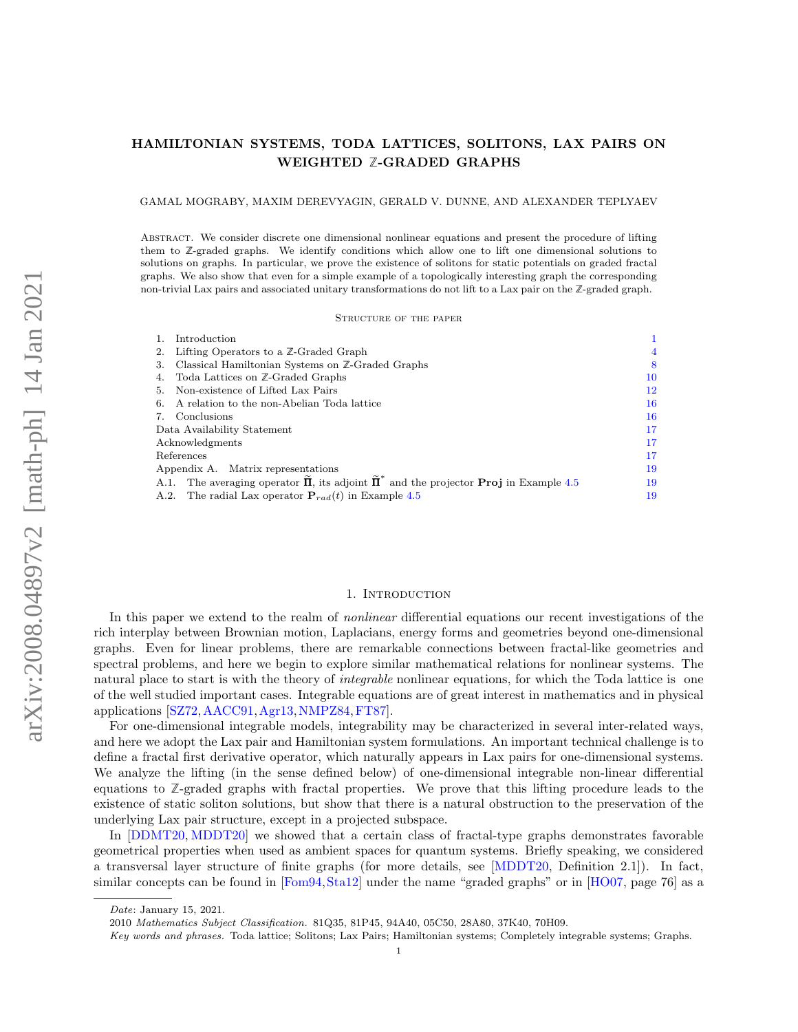### <span id="page-0-1"></span>HAMILTONIAN SYSTEMS, TODA LATTICES, SOLITONS, LAX PAIRS ON WEIGHTED **Z**-GRADED GRAPHS

#### GAMAL MOGRABY, MAXIM DEREVYAGIN, GERALD V. DUNNE, AND ALEXANDER TEPLYAEV

Abstract. We consider discrete one dimensional nonlinear equations and present the procedure of lifting them to **Z**-graded graphs. We identify conditions which allow one to lift one dimensional solutions to solutions on graphs. In particular, we prove the existence of solitons for static potentials on graded fractal graphs. We also show that even for a simple example of a topologically interesting graph the corresponding non-trivial Lax pairs and associated unitary transformations do not lift to a Lax pair on the **Z**-graded graph.

#### Structure of the paper

| Introduction                                                                                                         |    |
|----------------------------------------------------------------------------------------------------------------------|----|
| Lifting Operators to a $\mathbb{Z}$ -Graded Graph                                                                    |    |
| Classical Hamiltonian Systems on Z-Graded Graphs<br>З.                                                               | 8  |
| Toda Lattices on ℤ-Graded Graphs<br>4.                                                                               | 10 |
| Non-existence of Lifted Lax Pairs<br>5.                                                                              | 12 |
| 6. A relation to the non-Abelian Toda lattice                                                                        | 16 |
| Conclusions                                                                                                          | 16 |
| Data Availability Statement                                                                                          | 17 |
| Acknowledgments                                                                                                      | 17 |
| References                                                                                                           | 17 |
| Appendix A. Matrix representations                                                                                   | 19 |
| A.1. The averaging operator $\tilde{\Pi}$ , its adjoint $\tilde{\Pi}^*$ and the projector <b>Proj</b> in Example 4.5 | 19 |
| A.2. The radial Lax operator $P_{rad}(t)$ in Example 4.5                                                             | 19 |

#### 1. INTRODUCTION

<span id="page-0-0"></span>In this paper we extend to the realm of *nonlinear* differential equations our recent investigations of the rich interplay between Brownian motion, Laplacians, energy forms and geometries beyond one-dimensional graphs. Even for linear problems, there are remarkable connections between fractal-like geometries and spectral problems, and here we begin to explore similar mathematical relations for nonlinear systems. The natural place to start is with the theory of *integrable* nonlinear equations, for which the Toda lattice is one of the well studied important cases. Integrable equations are of great interest in mathematics and in physical applications [\[SZ72,](#page-17-0)[AACC91,](#page-16-3)[Agr13,](#page-16-4)[NMPZ84,](#page-17-1)[FT87\]](#page-17-2).

For one-dimensional integrable models, integrability may be characterized in several inter-related ways, and here we adopt the Lax pair and Hamiltonian system formulations. An important technical challenge is to define a fractal first derivative operator, which naturally appears in Lax pairs for one-dimensional systems. We analyze the lifting (in the sense defined below) of one-dimensional integrable non-linear differential equations to **Z**-graded graphs with fractal properties. We prove that this lifting procedure leads to the existence of static soliton solutions, but show that there is a natural obstruction to the preservation of the underlying Lax pair structure, except in a projected subspace.

In [\[DDMT20,](#page-17-3) [MDDT20\]](#page-17-4) we showed that a certain class of fractal-type graphs demonstrates favorable geometrical properties when used as ambient spaces for quantum systems. Briefly speaking, we considered a transversal layer structure of finite graphs (for more details, see [\[MDDT20,](#page-17-4) Definition 2.1]). In fact, similar concepts can be found in [\[Fom94,](#page-17-5)[Sta12\]](#page-17-6) under the name "graded graphs" or in [\[HO07,](#page-17-7) page 76] as a

Date: January 15, 2021.

<sup>2010</sup> Mathematics Subject Classification. 81Q35, 81P45, 94A40, 05C50, 28A80, 37K40, 70H09.

Key words and phrases. Toda lattice; Solitons; Lax Pairs; Hamiltonian systems; Completely integrable systems; Graphs.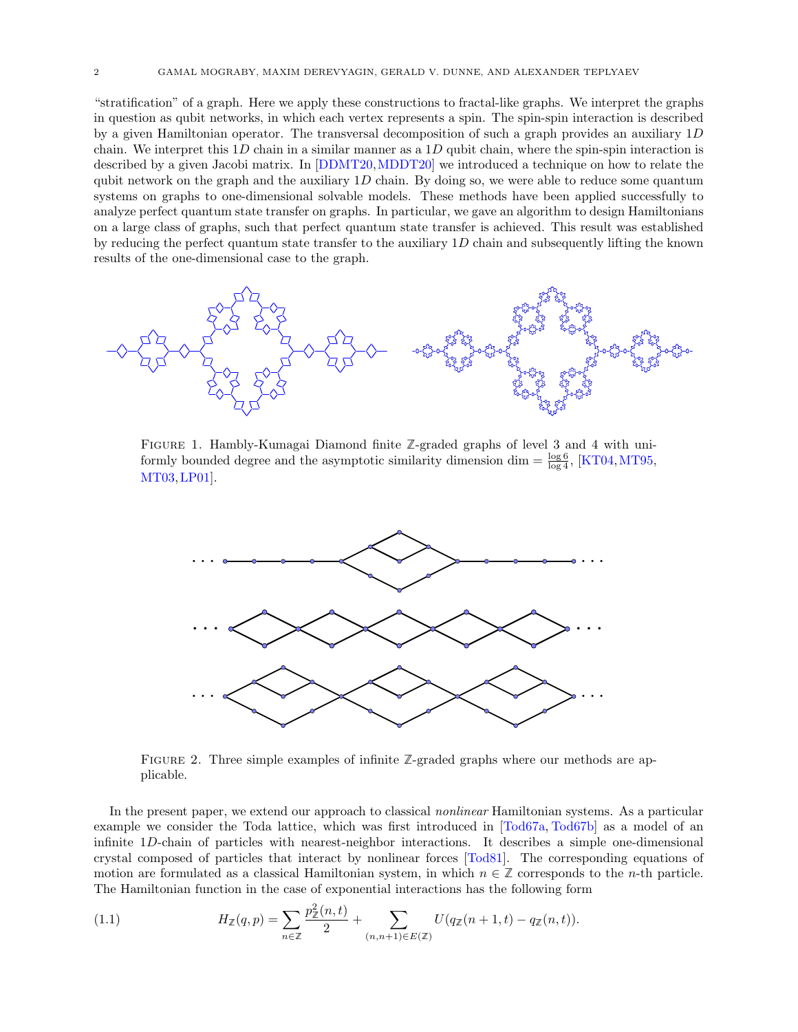<span id="page-1-3"></span>"stratification" of a graph. Here we apply these constructions to fractal-like graphs. We interpret the graphs in question as qubit networks, in which each vertex represents a spin. The spin-spin interaction is described by a given Hamiltonian operator. The transversal decomposition of such a graph provides an auxiliary  $1D$  $\alpha$  is the main contain operator. The transversal decomposition of such a graph provides an advising  $\alpha$  chain. We interpret this 1D chain in a similar manner as a 1D qubit chain, where the spin-spin interaction is described by a given Jacobi matrix. In [\[DDMT20,](#page-17-3) [MDDT20\]](#page-17-4) we introduced a technique on how to relate the  $\frac{1}{2}$  and  $\frac{1}{2}$  and  $\frac{1}{2}$  and  $\frac{1}{2}$  and  $\frac{1}{2}$  and  $\frac{1}{2}$  and  $\frac{1}{2}$  and  $\frac{1}{2}$  and  $\frac{1}{2}$  and  $\frac{1}{2}$  and  $\frac{1}{2}$  and  $\frac{1}{2}$  and  $\frac{1}{2}$  and  $\frac{1}{2}$  and  $\frac{1}{2}$  and  $\frac{1}{2}$  a systems on graphs to one-dimensional solvable models. These methods have been applied successfully to analyze perfect quantum state transfer on graphs. In particular, we gave an algorithm to design Hamiltonians on a large class of graphs, such that perfect quantum state transfer is achieved. This result was established on a large class of graphs, such that perfect quantum state transfer is achieved. This result was established<br>by reducing the perfect quantum state transfer to the auxiliary  $1D$  chain and subsequently lifting the known results of the one-dimensional case to the graph. by reducing the perfect quantum state transfer to the auxiliary  $1D$  chain and subsequently lifting the known analyze perfect quantum state transfer to the auxiliary  $1D$  chain and subsequently lifting the known

<span id="page-1-2"></span>

FIGURE 1. Hambly-Kumagai Diamond finite  $\mathbb{Z}$ -graded graphs of level 3 and 4 with uni-Fraction 1: Hamply-Kunlagar Diamond limit  $\sum$ -graded graphs of level 3 and 4 with differently bounded degree and the asymptotic similarity dimension dim  $=$   $\frac{\log 6}{\log 4}$ , [\[KT04,](#page-17-8) [MT95,](#page-17-9)  $MT03, LP01$  $MT03, LP01$ . The asymptotic similar bounded degree and the asymptotic similar  $\log 4$ 

<span id="page-1-1"></span>

FIGURE 2. Three simple examples of infinite  $\mathbb{Z}$ -graded graphs where our methods are ap- $\text{plicable.}$  $\sum_{i=1}^{\infty}$  present paper, we extend our approach to classical nonlinear  $\sum_{i=1}^{\infty}$  particular systems. As a particular system of  $\sum_{i=1}^{\infty}$ plicable.

In the present paper, we extend our approach to classical *nonlinear* Hamiltonian systems. As a particular example we consider the Toda lattice, which was first introduced in [\[Tod67a,](#page-17-12) Tod67b] as a model of an infinite 1D-chain of particles with nearest-neighbor interactions. It describes a simple one-dimensional crystal composed of particles that interact by nonlinear forces [Tod81]. The corresponding equations of motion are formulated as a classical Hamiltonian gratem in which  $\alpha \in \mathbb{Z}$  corresponds to the n th particle  $\frac{1}{2}$  The Hamiltonian function in the case of exponential interaction  $\alpha$  and  $\alpha$  of the state is that interact by noninear lotes [10001]. The corresponding equations of motion are formulated as a classical Hamiltonian system, in which  $n \in \mathbb{Z}$  corresponds to the *n*-th particle. The Hamiltonian function in the case of exponential interactions has the following form

<span id="page-1-0"></span>(1.1) 
$$
H_{\mathbb{Z}}(q,p) = \sum_{n \in \mathbb{Z}} \frac{p_{\mathbb{Z}}^2(n,t)}{2} + \sum_{(n,n+1) \in E(\mathbb{Z})} U(q_{\mathbb{Z}}(n+1,t) - q_{\mathbb{Z}}(n,t)).
$$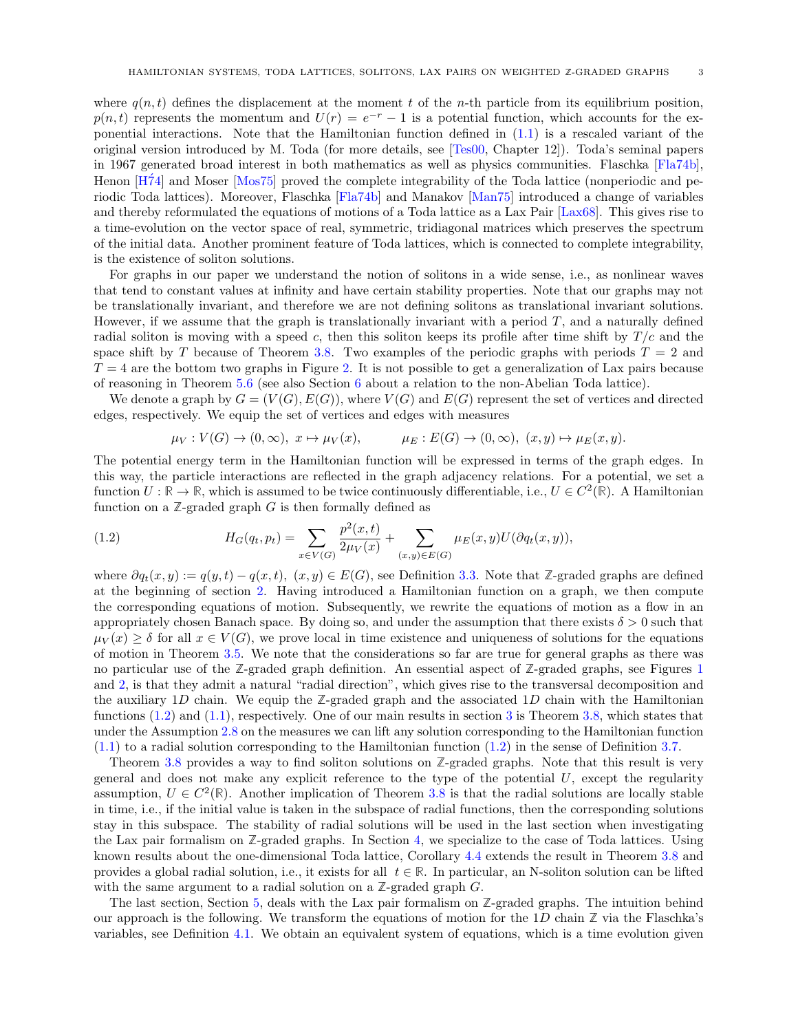<span id="page-2-1"></span>where  $q(n, t)$  defines the displacement at the moment t of the n-th particle from its equilibrium position,  $p(n, t)$  represents the momentum and  $U(r) = e^{-r} - 1$  is a potential function, which accounts for the exponential interactions. Note that the Hamiltonian function defined in  $(1.1)$  is a rescaled variant of the original version introduced by M. Toda (for more details, see [\[Tes00,](#page-17-15) Chapter 12]). Toda's seminal papers in 1967 generated broad interest in both mathematics as well as physics communities. Flaschka [\[Fla74b\]](#page-17-16), Henon [\[H´74\]](#page-17-17) and Moser [\[Mos75\]](#page-17-18) proved the complete integrability of the Toda lattice (nonperiodic and periodic Toda lattices). Moreover, Flaschka [\[Fla74b\]](#page-17-16) and Manakov [\[Man75\]](#page-17-19) introduced a change of variables and thereby reformulated the equations of motions of a Toda lattice as a Lax Pair [\[Lax68\]](#page-17-20). This gives rise to a time-evolution on the vector space of real, symmetric, tridiagonal matrices which preserves the spectrum of the initial data. Another prominent feature of Toda lattices, which is connected to complete integrability, is the existence of soliton solutions.

For graphs in our paper we understand the notion of solitons in a wide sense, i.e., as nonlinear waves that tend to constant values at infinity and have certain stability properties. Note that our graphs may not be translationally invariant, and therefore we are not defining solitons as translational invariant solutions. However, if we assume that the graph is translationally invariant with a period  $T$ , and a naturally defined radial soliton is moving with a speed c, then this soliton keeps its profile after time shift by  $T/c$  and the space shift by T because of Theorem [3.8.](#page-9-1) Two examples of the periodic graphs with periods  $T = 2$  and  $T = 4$  are the bottom two graphs in Figure [2.](#page-1-1) It is not possible to get a generalization of Lax pairs because of reasoning in Theorem [5.6](#page-14-0) (see also Section [6](#page-15-0) about a relation to the non-Abelian Toda lattice).

We denote a graph by  $G = (V(G), E(G))$ , where  $V(G)$  and  $E(G)$  represent the set of vertices and directed edges, respectively. We equip the set of vertices and edges with measures

<span id="page-2-0"></span>
$$
\mu_V: V(G) \to (0, \infty), \ x \mapsto \mu_V(x), \qquad \mu_E: E(G) \to (0, \infty), \ (x, y) \mapsto \mu_E(x, y).
$$

The potential energy term in the Hamiltonian function will be expressed in terms of the graph edges. In this way, the particle interactions are reflected in the graph adjacency relations. For a potential, we set a function  $U : \mathbb{R} \to \mathbb{R}$ , which is assumed to be twice continuously differentiable, i.e.,  $U \in C^2(\mathbb{R})$ . A Hamiltonian function on a  $\mathbb{Z}$ -graded graph  $G$  is then formally defined as

(1.2) 
$$
H_G(q_t, p_t) = \sum_{x \in V(G)} \frac{p^2(x, t)}{2\mu_V(x)} + \sum_{(x, y) \in E(G)} \mu_E(x, y) U(\partial q_t(x, y)),
$$

where  $\partial q_t(x, y) := q(y, t) - q(x, t), (x, y) \in E(G)$ , see Definition [3.3.](#page-7-1) Note that **Z**-graded graphs are defined at the beginning of section [2.](#page-3-0) Having introduced a Hamiltonian function on a graph, we then compute the corresponding equations of motion. Subsequently, we rewrite the equations of motion as a flow in an appropriately chosen Banach space. By doing so, and under the assumption that there exists  $\delta > 0$  such that  $\mu_V(x) \geq \delta$  for all  $x \in V(G)$ , we prove local in time existence and uniqueness of solutions for the equations of motion in Theorem [3.5.](#page-8-0) We note that the considerations so far are true for general graphs as there was no particular use of the **Z**-graded graph definition. An essential aspect of **Z**-graded graphs, see Figures [1](#page-1-2) and [2,](#page-1-1) is that they admit a natural "radial direction", which gives rise to the transversal decomposition and the auxiliary 1D chain. We equip the  $\mathbb{Z}$ -graded graph and the associated 1D chain with the Hamiltonian functions [\(1.2\)](#page-2-0) and [\(1.1\)](#page-1-0), respectively. One of our main results in section [3](#page-7-0) is Theorem [3.8,](#page-9-1) which states that under the Assumption [2.8](#page-5-0) on the measures we can lift any solution corresponding to the Hamiltonian function [\(1.1\)](#page-1-0) to a radial solution corresponding to the Hamiltonian function [\(1.2\)](#page-2-0) in the sense of Definition [3.7.](#page-9-2)

Theorem [3.8](#page-9-1) provides a way to find soliton solutions on **Z**-graded graphs. Note that this result is very general and does not make any explicit reference to the type of the potential  $U$ , except the regularity assumption,  $U \in C^2(\mathbb{R})$ . Another implication of Theorem [3.8](#page-9-1) is that the radial solutions are locally stable in time, i.e., if the initial value is taken in the subspace of radial functions, then the corresponding solutions stay in this subspace. The stability of radial solutions will be used in the last section when investigating the Lax pair formalism on **Z**-graded graphs. In Section [4,](#page-9-0) we specialize to the case of Toda lattices. Using known results about the one-dimensional Toda lattice, Corollary [4.4](#page-11-2) extends the result in Theorem [3.8](#page-9-1) and provides a global radial solution, i.e., it exists for all  $t \in \mathbb{R}$ . In particular, an N-soliton solution can be lifted with the same argument to a radial solution on a **Z**-graded graph G.

The last section, Section [5,](#page-11-0) deals with the Lax pair formalism on **Z**-graded graphs. The intuition behind our approach is the following. We transform the equations of motion for the 1D chain  $\mathbb Z$  via the Flaschka's variables, see Definition [4.1.](#page-9-3) We obtain an equivalent system of equations, which is a time evolution given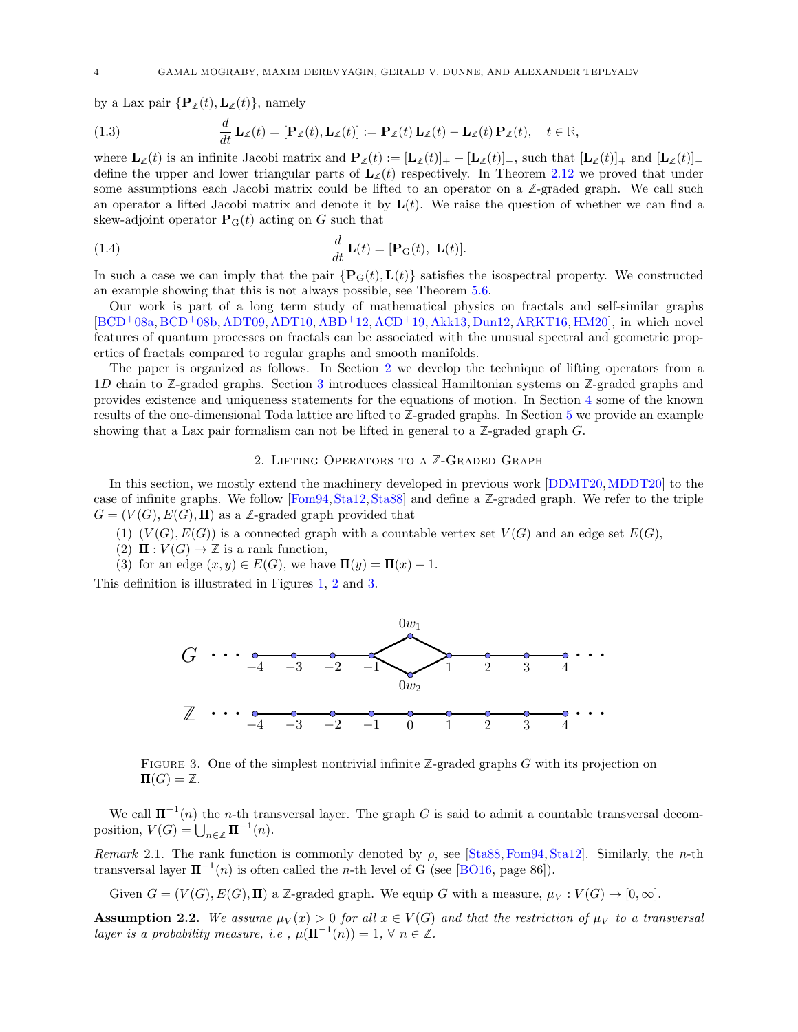<span id="page-3-3"></span>by a Lax pair  $\{P_{\mathbb{Z}}(t), L_{\mathbb{Z}}(t)\}$ , namely

(1.3) 
$$
\frac{d}{dt}\mathbf{L}_{\mathbb{Z}}(t) = [\mathbf{P}_{\mathbb{Z}}(t), \mathbf{L}_{\mathbb{Z}}(t)] := \mathbf{P}_{\mathbb{Z}}(t)\mathbf{L}_{\mathbb{Z}}(t) - \mathbf{L}_{\mathbb{Z}}(t)\mathbf{P}_{\mathbb{Z}}(t), \quad t \in \mathbb{R},
$$

where  $\mathbf{L}_{\mathbb{Z}}(t)$  is an infinite Jacobi matrix and  $\mathbf{P}_{\mathbb{Z}}(t) := [\mathbf{L}_{\mathbb{Z}}(t)]_+ - [\mathbf{L}_{\mathbb{Z}}(t)]_-,$  such that  $[\mathbf{L}_{\mathbb{Z}}(t)]_+$  and  $[\mathbf{L}_{\mathbb{Z}}(t)]_$ define the upper and lower triangular parts of  $L_z(t)$  respectively. In Theorem [2.12](#page-5-1) we proved that under some assumptions each Jacobi matrix could be lifted to an operator on a **Z**-graded graph. We call such some assumptions each Jacobi matrix could be lifted to an operator on a  $\mathbb{Z}$ -graded graph. We call such<br>an operator a lifted Jacobi matrix and denote it by  $\mathbf{L}(t)$ . We raise the question of whether we can find a skew-adjoint operator  $P_{\mathcal{G}}(t)$  acting on G such that

(1.4) 
$$
\frac{d}{dt}\mathbf{L}(t) = [\mathbf{P}_{\mathrm{G}}(t), \ \mathbf{L}(t)].
$$

(1.4)  $\frac{d}{dt} \mathbf{L}(t) = [\mathbf{P}_{\mathbf{G}}(t), \mathbf{L}(t)].$ <br>In such a case we can imply that the pair  ${\mathbf{P}_{\mathbf{G}}(t), \mathbf{L}(t)}$  satisfies the isospectral property. We constructed an example showing that this is not always possible, see Theorem [5.6.](#page-14-0) an example showing that this is not always possible, see Theorem 5.6.

Our work is part of a long term study of mathematical physics on fractals and self-similar graphs Our work is part of a long term study of mathematical physics on fractals and self-similar graphs [\[BCD](#page-16-5)+08a, [BCD](#page-16-6)+08b, ADT09, ADT10, [ABD](#page-16-9)+12, [ACD](#page-16-10)+19, Akk13, Dun12, ARKT16, HM20], in which novel [BCD+08a, BCD+08b, [ADT09,](#page-16-7) [ADT10,](#page-16-8) ABD+12, ACD+19, [Akk13,](#page-16-11) [Dun12,](#page-17-21) [ARKT16,](#page-16-12) [HM20\]](#page-17-22), in which novel features of quantum processes on fractals can be associated with the unusual spectral and geometric prop-features of quantum processes on fractals can be associated with the unusual spectral and geometric properties of fractals compared to regular graphs and smooth manifolds. erties of fractals compared to regular graphs and smooth manifolds.

The paper is organized as follows. In Section [2](#page-3-0) we develop the technique of lifting operators from a The paper is organized as follows. In Section 2 we develop the technique of lifting operators from a 1D chain to  $\mathbb{Z}$ -graded graphs. Section [3](#page-7-0) introduces classical Hamiltonian systems on  $\mathbb{Z}$ -graded graphs and provides existence and uniqueness statements for the equations of motion. In Section [4](#page-9-0) some of the known provides existence and uniqueness statements for the equations of motion. In Section 4 some of the known results of the one-dimensional Toda lattice are lifted to  $\mathbb{Z}\text{-graded graphs.}$  In Section [5](#page-11-0) we provide an example showing that a Lax pair formalism can not be lifted in general to a **Z**-graded graph G. showing that a Lax pair formalism can not be lifted in general to a **Z**-graded graph G.

## 2. Lifting Operators to a **Z**-Graded Graph 2. Lifting Operators to a **Z**-Graded Graph

<span id="page-3-0"></span>In this section, we mostly extend the machinery developed in previous work  $[DDMT20, MDDT20]$  $[DDMT20, MDDT20]$  $[DDMT20, MDDT20]$  to the case of infinite graphs. We follow [\[Fom94,](#page-17-5) [Sta12,](#page-17-6) [Sta88\]](#page-17-23) and define a Z-graded graph. We refer to the triple  $G = (V(G), E(G), \Pi)$  as a  $\mathbb{Z}$ -graded graph provided that

- (1)  $(V(G), E(G))$  is a connected graph with a countable vertex set  $V(G)$  and an edge set  $E(G)$ ,
- (2)  $\Pi: V(G) \to \mathbb{Z}$  is a rank function,
- (2)  $\mathbf{H}: V(G) \to \mathbb{Z}$  is a rank function,<br>(3) for an edge  $(x, y) \in E(G)$ , we have  $\mathbf{\Pi}(y) = \mathbf{\Pi}(x) + 1$ . (3) for an edge  $(x, y) \in E(G)$ , we have  $\mathbf{H}(y) = \mathbf{H}(x) + 1$ .

<span id="page-3-1"></span>This definition is illustrated in Figures [1,](#page-1-2) [2](#page-1-1) and [3.](#page-3-1) This definition is illustrated in Figures 1, 2 and 3.



FIGURE 3. One of the simplest nontrivial infinite  $\mathbb{Z}$ -graded graphs G with its projection on  $\Pi(G) = \mathbb{Z}.$ 

We call  $\Pi^{-1}(n)$  the n-th transversal layer. The graph G is said to admit a countable transversal decomposition,  $V(G) = \bigcup_{n \in \mathbb{Z}} \mathbf{\Pi}^{-1}(n)$ .

Remark 2.1. The rank function is commonly denoted by  $\rho$ , see [\[Sta88,](#page-17-23) [Fom94,](#page-17-5) [Sta12\]](#page-17-6). Similarly, the *n*-th transversal layer  $\Pi^{-1}(n)$  is often called the *n*-th level of G (see [\[BO16,](#page-16-13) page 86]).

Given  $G = (V(G), E(G), \Pi)$  a Z-graded graph. We equip G with a measure,  $\mu_V : V(G) \to [0, \infty]$ .

<span id="page-3-2"></span>**Assumption 2.2.** We assume  $\mu_V(x) > 0$  for all  $x \in V(G)$  and that the restriction of  $\mu_V$  to a transversal layer is a probability measure, i.e.,  $\mu(\mathbf{\Pi}^{-1}(n)) = 1$ ,  $\forall n \in \mathbb{Z}$ .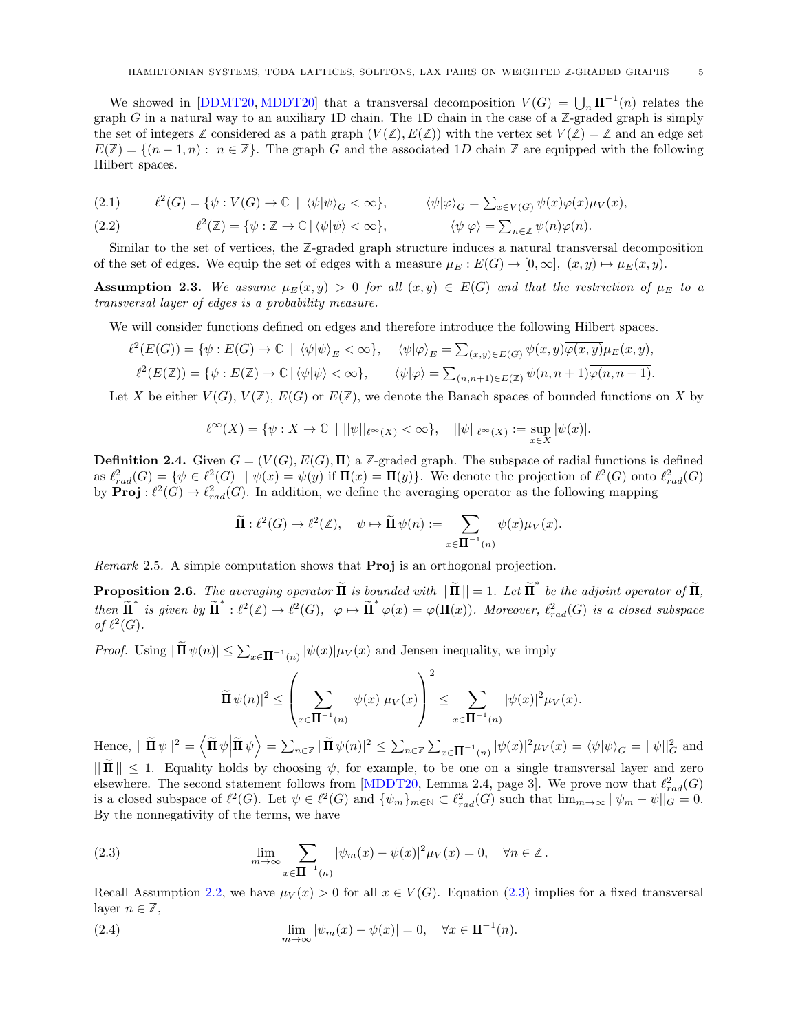<span id="page-4-3"></span>We showed in [\[DDMT20,](#page-17-3) [MDDT20\]](#page-17-4) that a transversal decomposition  $V(G) = \bigcup_n \mathbf{\Pi}^{-1}(n)$  relates the graph G in a natural way to an auxiliary 1D chain. The 1D chain in the case of a  $\mathbb{Z}$ -graded graph is simply the set of integers  $\mathbb{Z}$  considered as a path graph  $(V(\mathbb{Z}), E(\mathbb{Z}))$  with the vertex set  $V(\mathbb{Z}) = \mathbb{Z}$  and an edge set  $E(\mathbb{Z}) = \{(n-1,n): n \in \mathbb{Z}\}.$  The graph G and the associated 1D chain  $\mathbb{Z}$  are equipped with the following Hilbert spaces.

(2.1) 
$$
\ell^2(G) = \{ \psi : V(G) \to \mathbb{C} \mid \langle \psi | \psi \rangle_G < \infty \}, \qquad \langle \psi | \varphi \rangle_G = \sum_{x \in V(G)} \psi(x) \overline{\varphi(x)} \mu_V(x),
$$

(2.2) 
$$
\ell^2(\mathbb{Z}) = \{ \psi : \mathbb{Z} \to \mathbb{C} \mid \langle \psi | \psi \rangle < \infty \}, \qquad \langle \psi | \varphi \rangle = \sum_{n \in \mathbb{Z}} \psi(n) \overline{\varphi(n)}.
$$

Similar to the set of vertices, the **Z**-graded graph structure induces a natural transversal decomposition of the set of edges. We equip the set of edges with a measure  $\mu_E : E(G) \to [0, \infty], (x, y) \mapsto \mu_E(x, y)$ .

<span id="page-4-2"></span>Assumption 2.3. We assume  $\mu_E(x, y) > 0$  for all  $(x, y) \in E(G)$  and that the restriction of  $\mu_E$  to a transversal layer of edges is a probability measure.

We will consider functions defined on edges and therefore introduce the following Hilbert spaces.

$$
\ell^2(E(G)) = \{ \psi : E(G) \to \mathbb{C} \mid \langle \psi | \psi \rangle_E < \infty \}, \quad \langle \psi | \varphi \rangle_E = \sum_{(x,y) \in E(G)} \psi(x,y) \overline{\varphi(x,y)} \mu_E(x,y),
$$
  

$$
\ell^2(E(\mathbb{Z})) = \{ \psi : E(\mathbb{Z}) \to \mathbb{C} \mid \langle \psi | \psi \rangle < \infty \}, \quad \langle \psi | \varphi \rangle = \sum_{(n,n+1) \in E(\mathbb{Z})} \psi(n,n+1) \overline{\varphi(n,n+1)}.
$$

Let X be either  $V(G)$ ,  $V(\mathbb{Z})$ ,  $E(G)$  or  $E(\mathbb{Z})$ , we denote the Banach spaces of bounded functions on X by

$$
\ell^{\infty}(X) = \{ \psi : X \to \mathbb{C} \mid ||\psi||_{\ell^{\infty}(X)} < \infty \}, \quad ||\psi||_{\ell^{\infty}(X)} := \sup_{x \in X} |\psi(x)|.
$$

<span id="page-4-4"></span>**Definition 2.4.** Given  $G = (V(G), E(G), \Pi)$  a Z-graded graph. The subspace of radial functions is defined as  $\ell_{rad}^2(G) = \{ \psi \in \ell^2(G) \mid \psi(x) = \psi(y) \text{ if } \Pi(x) = \Pi(y) \}.$  We denote the projection of  $\ell^2(G)$  onto  $\ell_{rad}^2(G)$ by  $\text{Proj}: \ell^2(G) \to \ell^2_{rad}(G)$ . In addition, we define the averaging operator as the following mapping

$$
\widetilde{\Pi}: \ell^2(G) \to \ell^2(\mathbb{Z}), \quad \psi \mapsto \widetilde{\Pi} \psi(n) := \sum_{x \in \Pi^{-1}(n)} \psi(x) \mu_V(x).
$$

Remark 2.5. A simple computation shows that Proj is an orthogonal projection.

<span id="page-4-1"></span>**Proposition 2.6.** The averaging operator  $\widetilde{\mathbf{\Pi}}$  is bounded with  $\|\widetilde{\mathbf{\Pi}}\| = 1$ . Let  $\widetilde{\mathbf{\Pi}}^*$  be the adjoint operator of  $\widetilde{\mathbf{\Pi}}$ ,  $then \widetilde{\Pi}^* \; is \; given \; by \; \widetilde{\Pi}^* : \ell^2(\mathbb{Z}) \to \ell^2(G), \; \; \varphi \mapsto \widetilde{\Pi}^* \varphi(x) = \varphi(\Pi(x)).$  Moreover,  $\ell^2_{rad}(G)$  is a closed subspace of  $\ell^2(G)$ .

*Proof.* Using  $|\tilde{\mathbf{\Pi}} \psi(n)| \leq \sum_{x \in \mathbf{\Pi}^{-1}(n)} |\psi(x)| \mu_V(x)$  and Jensen inequality, we imply

$$
|\widetilde{\mathbf{\Pi}} \psi(n)|^2 \le \left(\sum_{x \in \mathbf{\Pi}^{-1}(n)} |\psi(x)| \mu_V(x)\right)^2 \le \sum_{x \in \mathbf{\Pi}^{-1}(n)} |\psi(x)|^2 \mu_V(x).
$$

Hence,  $||\tilde{\mathbf{H}} \psi||^2 = \langle \tilde{\mathbf{H}} \psi \Big| \tilde{\mathbf{H}} \psi \rangle = \sum_{n \in \mathbb{Z}} |\tilde{\mathbf{H}} \psi(n)|^2 \leq \sum_{n \in \mathbb{Z}} \sum_{x \in \mathbf{\Pi}^{-1}(n)} |\psi(x)|^2 \mu_V(x) = \langle \psi | \psi \rangle_G = ||\psi||_G^2$  and  $||\mathbf{I}|| \leq 1$ . Equality holds by choosing  $\psi$ , for example, to be one on a single transversal layer and zero elsewhere. The second statement follows from [\[MDDT20,](#page-17-4) Lemma 2.4, page 3]. We prove now that  $\ell_{rad}^2(G)$ is a closed subspace of  $\ell^2(G)$ . Let  $\psi \in \ell^2(G)$  and  $\{\psi_m\}_{m \in \mathbb{N}} \subset \ell^2_{rad}(G)$  such that  $\lim_{m \to \infty} ||\psi_m - \psi||_G = 0$ . By the nonnegativity of the terms, we have

<span id="page-4-0"></span>(2.3) 
$$
\lim_{m \to \infty} \sum_{x \in \mathbf{\Pi}^{-1}(n)} |\psi_m(x) - \psi(x)|^2 \mu_V(x) = 0, \quad \forall n \in \mathbb{Z}.
$$

Recall Assumption [2.2,](#page-3-2) we have  $\mu_V(x) > 0$  for all  $x \in V(G)$ . Equation [\(2.3\)](#page-4-0) implies for a fixed transversal layer  $n \in \mathbb{Z}$ ,

(2.4) 
$$
\lim_{m \to \infty} |\psi_m(x) - \psi(x)| = 0, \quad \forall x \in \mathbf{\Pi}^{-1}(n).
$$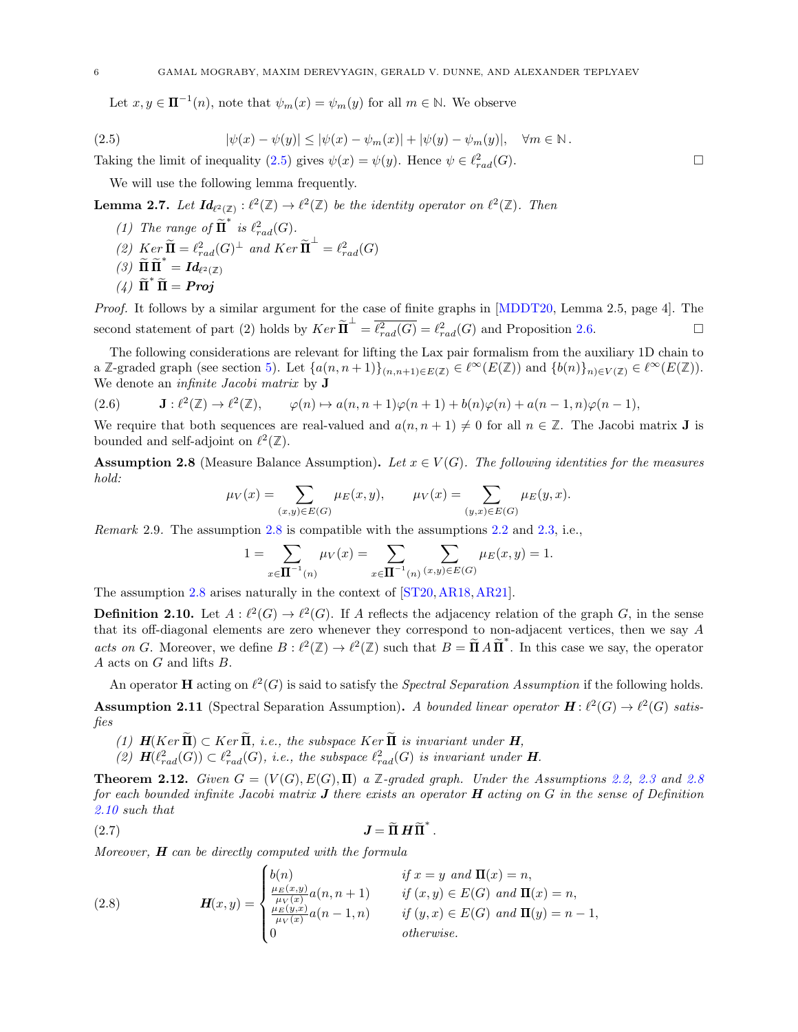<span id="page-5-8"></span><span id="page-5-2"></span>Let  $x, y \in \mathbf{\Pi}^{-1}(n)$ , note that  $\psi_m(x) = \psi_m(y)$  for all  $m \in \mathbb{N}$ . We observe

(2.5) 
$$
|\psi(x) - \psi(y)| \le |\psi(x) - \psi_m(x)| + |\psi(y) - \psi_m(y)|, \quad \forall m \in \mathbb{N}.
$$

Taking the limit of inequality [\(2.5\)](#page-5-2) gives  $\psi(x) = \psi(y)$ . Hence  $\psi \in \ell_{rad}^2(G)$ .

We will use the following lemma frequently.

<span id="page-5-6"></span>**Lemma 2.7.** Let  $Id_{\ell^2(\mathbb{Z})}: \ell^2(\mathbb{Z}) \to \ell^2(\mathbb{Z})$  be the identity operator on  $\ell^2(\mathbb{Z})$ . Then

- (1) The range of  $\widetilde{\mathbf{\Pi}}^*$  is  $\ell^2_{rad}(G)$ .
- (2)  $Ker \widetilde{\mathbf{\Pi}} = \ell_{rad}^2(G)^{\perp}$  and  $Ker \widetilde{\mathbf{\Pi}}^{\perp} = \ell_{rad}^2(G)$
- $(3) \widetilde{\Pi} \widetilde{\Pi}^* = Id_{\ell^2(\mathbb{Z})}$
- (4)  $\tilde{\Pi}^* \tilde{\Pi} = Proj$

Proof. It follows by a similar argument for the case of finite graphs in [\[MDDT20,](#page-17-4) Lemma 2.5, page 4]. The second statement of part (2) holds by  $Ker \widetilde{\mathbf{\Pi}}^{\perp} = \overline{\ell_{rad}^2(G)} = \ell_{rad}^2(G)$  and Proposition [2.6.](#page-4-1)

The following considerations are relevant for lifting the Lax pair formalism from the auxiliary 1D chain to a **Z**-graded graph (see section [5\)](#page-11-0). Let  $\{a(n, n+1)\}_{(n,n+1)\in E(\mathbb{Z})} \in \ell^{\infty}(E(\mathbb{Z}))$  and  $\{b(n)\}_{n\in V(\mathbb{Z})} \in \ell^{\infty}(E(\mathbb{Z}))$ . We denote an *infinite Jacobi matrix* by **J** 

<span id="page-5-7"></span>
$$
(2.6) \t\t \mathbf{J}: \ell^2(\mathbb{Z}) \to \ell^2(\mathbb{Z}), \t\t \varphi(n) \mapsto a(n, n+1)\varphi(n+1) + b(n)\varphi(n) + a(n-1, n)\varphi(n-1),
$$

We require that both sequences are real-valued and  $a(n, n + 1) \neq 0$  for all  $n \in \mathbb{Z}$ . The Jacobi matrix **J** is bounded and self-adjoint on  $\ell^2(\mathbb{Z})$ .

<span id="page-5-0"></span>**Assumption 2.8** (Measure Balance Assumption). Let  $x \in V(G)$ . The following identities for the measures hold:

$$
\mu_V(x) = \sum_{(x,y) \in E(G)} \mu_E(x,y), \qquad \mu_V(x) = \sum_{(y,x) \in E(G)} \mu_E(y,x).
$$

Remark 2.9. The assumption [2.8](#page-5-0) is compatible with the assumptions [2.2](#page-3-2) and [2.3,](#page-4-2) i.e.,

$$
1 = \sum_{x \in \mathbf{\Pi}^{-1}(n)} \mu_V(x) = \sum_{x \in \mathbf{\Pi}^{-1}(n)} \sum_{(x,y) \in E(G)} \mu_E(x,y) = 1.
$$

The assumption [2.8](#page-5-0) arises naturally in the context of [\[ST20,](#page-17-24)[AR18,](#page-16-14)[AR21\]](#page-16-15).

<span id="page-5-3"></span>**Definition 2.10.** Let  $A: \ell^2(G) \to \ell^2(G)$ . If A reflects the adjacency relation of the graph G, in the sense that its off-diagonal elements are zero whenever they correspond to non-adjacent vertices, then we say A acts on G. Moreover, we define  $B: \ell^2(\mathbb{Z}) \to \ell^2(\mathbb{Z})$  such that  $B = \tilde{\Pi} A \tilde{\Pi}^*$ . In this case we say, the operator A acts on G and lifts B.

<span id="page-5-5"></span>An operator **H** acting on  $\ell^2(G)$  is said to satisfy the *Spectral Separation Assumption* if the following holds. **Assumption 2.11** (Spectral Separation Assumption). A bounded linear operator  $H : \ell^2(G) \to \ell^2(G)$  satisfies

- (1)  $H(Ker \widetilde{\Pi}) \subset Ker \widetilde{\Pi}$ , i.e., the subspace  $Ker \widetilde{\Pi}$  is invariant under  $H$ ,
- (2)  $\mathbf{H}(\ell_{rad}^2(G)) \subset \ell_{rad}^2(G)$ , i.e., the subspace  $\ell_{rad}^2(G)$  is invariant under **H**.

<span id="page-5-1"></span>**Theorem 2.12.** Given  $G = (V(G), E(G), \Pi)$  a  $\mathbb{Z}$ -graded graph. Under the Assumptions [2.2,](#page-3-2) [2.3](#page-4-2) and [2.8](#page-5-0) for each bounded infinite Jacobi matrix  $J$  there exists an operator  $H$  acting on  $G$  in the sense of Definition [2.10](#page-5-3) such that

.

$$
(2.7) \t\t\t J = \widetilde{\Pi} H \widetilde{\Pi}^*
$$

Moreover,  $H$  can be directly computed with the formula

<span id="page-5-4"></span>(2.8) 
$$
\mathbf{H}(x,y) = \begin{cases} b(n) & \text{if } x = y \text{ and } \mathbf{\Pi}(x) = n, \\ \frac{\mu_E(x,y)}{\mu_V(x)} a(n, n+1) & \text{if } (x,y) \in E(G) \text{ and } \mathbf{\Pi}(x) = n, \\ \frac{\mu_E(y,x)}{\mu_V(x)} a(n-1,n) & \text{if } (y,x) \in E(G) \text{ and } \mathbf{\Pi}(y) = n-1, \\ 0 & \text{otherwise.} \end{cases}
$$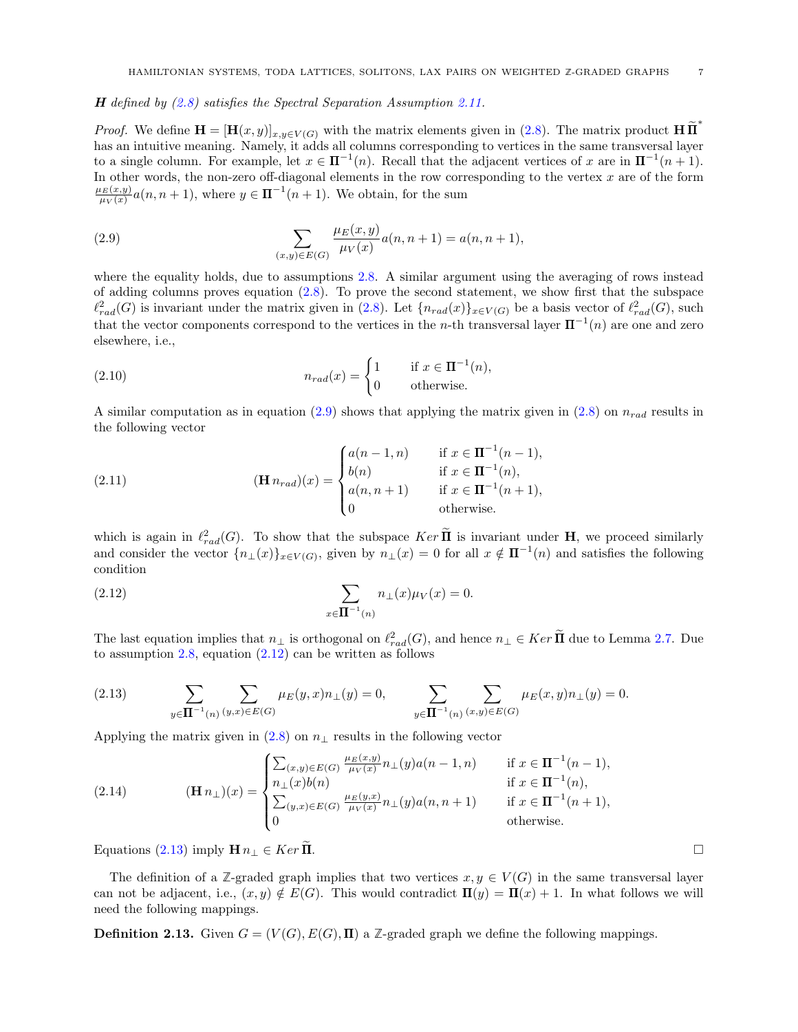$H$  defined by  $(2.8)$  satisfies the Spectral Separation Assumption [2.11.](#page-5-5)

*Proof.* We define  $\mathbf{H} = [\mathbf{H}(x, y)]_{x, y \in V(G)}$  with the matrix elements given in [\(2.8\)](#page-5-4). The matrix product  $\mathbf{H} \widetilde{\mathbf{H}}^*$ has an intuitive meaning. Namely, it adds all columns corresponding to vertices in the same transversal layer to a single column. For example, let  $x \in \mathbb{\Pi}^{-1}(n)$ . Recall that the adjacent vertices of x are in  $\mathbb{\Pi}^{-1}(n+1)$ . In other words, the non-zero off-diagonal elements in the row corresponding to the vertex  $x$  are of the form  $\mu_{E}(x,y)$  $\frac{\mu_E(x,y)}{\mu_V(x)}a(n,n+1)$ , where  $y \in \mathbf{\Pi}^{-1}(n+1)$ . We obtain, for the sum

<span id="page-6-0"></span>(2.9) 
$$
\sum_{(x,y)\in E(G)} \frac{\mu_E(x,y)}{\mu_V(x)} a(n, n+1) = a(n, n+1),
$$

where the equality holds, due to assumptions [2.8.](#page-5-0) A similar argument using the averaging of rows instead of adding columns proves equation [\(2.8\)](#page-5-4). To prove the second statement, we show first that the subspace  $\ell_{rad}^2(G)$  is invariant under the matrix given in [\(2.8\)](#page-5-4). Let  $\{n_{rad}(x)\}_{x\in V(G)}$  be a basis vector of  $\ell_{rad}^2(G)$ , such that the vector components correspond to the vertices in the n-th transversal layer  $\Pi^{-1}(n)$  are one and zero elsewhere, i.e.,

(2.10) 
$$
n_{rad}(x) = \begin{cases} 1 & \text{if } x \in \mathbf{II}^{-1}(n), \\ 0 & \text{otherwise.} \end{cases}
$$

A similar computation as in equation [\(2.9\)](#page-6-0) shows that applying the matrix given in [\(2.8\)](#page-5-4) on  $n_{rad}$  results in the following vector

(2.11) 
$$
(\mathbf{H} n_{rad})(x) = \begin{cases} a(n-1,n) & \text{if } x \in \mathbf{\Pi}^{-1}(n-1), \\ b(n) & \text{if } x \in \mathbf{\Pi}^{-1}(n), \\ a(n,n+1) & \text{if } x \in \mathbf{\Pi}^{-1}(n+1), \\ 0 & \text{otherwise.} \end{cases}
$$

which is again in  $\ell_{rad}^2(G)$ . To show that the subspace  $Ker \tilde{\mathbf{\Pi}}$  is invariant under **H**, we proceed similarly and consider the vector  $\{n_{\perp}(x)\}_{{x\in V(G)}}$ , given by  $n_{\perp}(x) = 0$  for all  $x \notin \mathbf{\Pi}^{-1}(n)$  and satisfies the following condition

<span id="page-6-1"></span>(2.12) 
$$
\sum_{x \in \mathbf{\Pi}^{-1}(n)} n_{\perp}(x) \mu_{V}(x) = 0.
$$

The last equation implies that  $n_{\perp}$  is orthogonal on  $\ell_{rad}^2(G)$ , and hence  $n_{\perp} \in Ker \tilde{\Pi}$  due to Lemma [2.7.](#page-5-6) Due to assumption [2.8,](#page-5-0) equation [\(2.12\)](#page-6-1) can be written as follows

<span id="page-6-2"></span>(2.13) 
$$
\sum_{y \in \mathbf{\Pi}^{-1}(n)} \sum_{(y,x) \in E(G)} \mu_E(y,x) n_{\perp}(y) = 0, \qquad \sum_{y \in \mathbf{\Pi}^{-1}(n)} \sum_{(x,y) \in E(G)} \mu_E(x,y) n_{\perp}(y) = 0.
$$

Applying the matrix given in  $(2.8)$  on  $n_{\perp}$  results in the following vector

(2.14) 
$$
\textbf{(H } n_{\perp})(x) = \begin{cases} \sum_{(x,y) \in E(G)} \frac{\mu_E(x,y)}{\mu_V(x)} n_{\perp}(y) a(n-1,n) & \text{if } x \in \mathbf{\Pi}^{-1}(n-1), \\ n_{\perp}(x) b(n) & \text{if } x \in \mathbf{\Pi}^{-1}(n), \\ \sum_{(y,x) \in E(G)} \frac{\mu_E(y,x)}{\mu_V(x)} n_{\perp}(y) a(n,n+1) & \text{if } x \in \mathbf{\Pi}^{-1}(n+1), \\ 0 & \text{otherwise.} \end{cases}
$$

Equations [\(2.13\)](#page-6-2) imply  $\mathbf{H} n_{\perp} \in \text{Ker } \Pi$ .

The definition of a *Z*-graded graph implies that two vertices  $x, y \in V(G)$  in the same transversal layer can not be adjacent, i.e.,  $(x, y) \notin E(G)$ . This would contradict  $\Pi(y) = \Pi(x) + 1$ . In what follows we will need the following mappings.

**Definition 2.13.** Given  $G = (V(G), E(G), \Pi)$  a Z-graded graph we define the following mappings.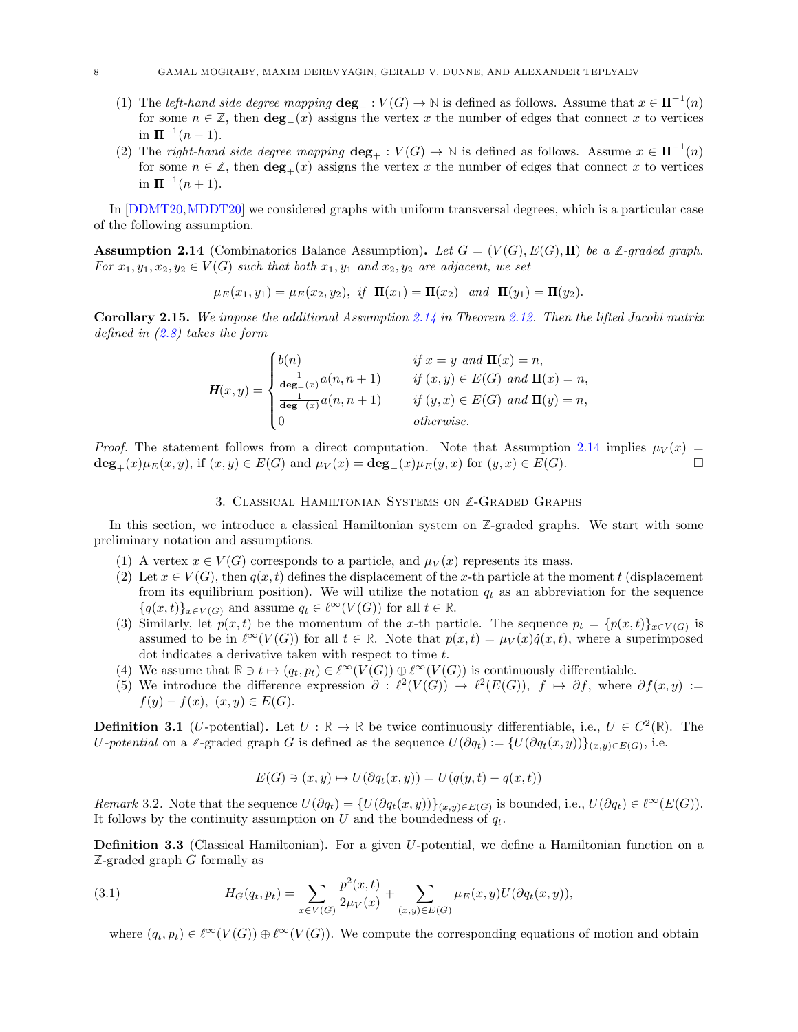- <span id="page-7-4"></span>(1) The left-hand side degree mapping  $\deg_-\colon V(G) \to \mathbb{N}$  is defined as follows. Assume that  $x \in \mathbb{\mathbb{H}}^{-1}(n)$ for some  $n \in \mathbb{Z}$ , then **deg** $(x)$  assigns the vertex x the number of edges that connect x to vertices  $\ln \Pi^{-1}(n-1)$ .
- (2) The *right-hand side degree mapping*  $\deg_+ : V(G) \to \mathbb{N}$  is defined as follows. Assume  $x \in \mathbb{\mathbb{I}}^{-1}(n)$ for some  $n \in \mathbb{Z}$ , then  $\deg_+(x)$  assigns the vertex x the number of edges that connect x to vertices in  $\Pi^{-1}(n+1)$ .

In [\[DDMT20,](#page-17-3)[MDDT20\]](#page-17-4) we considered graphs with uniform transversal degrees, which is a particular case of the following assumption.

<span id="page-7-2"></span>**Assumption 2.14** (Combinatorics Balance Assumption). Let  $G = (V(G), E(G), \Pi)$  be a Z-graded graph. For  $x_1, y_1, x_2, y_2 \in V(G)$  such that both  $x_1, y_1$  and  $x_2, y_2$  are adjacent, we set

$$
\mu_E(x_1, y_1) = \mu_E(x_2, y_2), \text{ if } \Pi(x_1) = \Pi(x_2) \text{ and } \Pi(y_1) = \Pi(y_2).
$$

<span id="page-7-3"></span>**Corollary 2.15.** We impose the additional Assumption [2.14](#page-7-2) in Theorem [2.12.](#page-5-1) Then the lifted Jacobi matrix defined in [\(2.8\)](#page-5-4) takes the form

$$
\mathbf{H}(x,y) = \begin{cases} b(n) & \text{if } x = y \text{ and } \mathbf{\Pi}(x) = n, \\ \frac{1}{\deg_+(x)} a(n, n+1) & \text{if } (x,y) \in E(G) \text{ and } \mathbf{\Pi}(x) = n, \\ \frac{1}{\deg_-(x)} a(n, n+1) & \text{if } (y,x) \in E(G) \text{ and } \mathbf{\Pi}(y) = n, \\ 0 & \text{otherwise.} \end{cases}
$$

*Proof.* The statement follows from a direct computation. Note that Assumption [2.14](#page-7-2) implies  $\mu_V(x)$  =  $deg_+(x)\mu_E(x,y)$ , if  $(x,y) \in E(G)$  and  $\mu_V(x) = deg_-(x)\mu_E(y,x)$  for  $(y,x) \in E(G)$ .

#### 3. Classical Hamiltonian Systems on **Z**-Graded Graphs

<span id="page-7-0"></span>In this section, we introduce a classical Hamiltonian system on **Z**-graded graphs. We start with some preliminary notation and assumptions.

- (1) A vertex  $x \in V(G)$  corresponds to a particle, and  $\mu_V(x)$  represents its mass.
- (2) Let  $x \in V(G)$ , then  $q(x,t)$  defines the displacement of the x-th particle at the moment t (displacement) from its equilibrium position). We will utilize the notation  $q_t$  as an abbreviation for the sequence  $\{q(x,t)\}_{x\in V(G)}$  and assume  $q_t \in \ell^{\infty}(V(G))$  for all  $t \in \mathbb{R}$ .
- (3) Similarly, let  $p(x,t)$  be the momentum of the x-th particle. The sequence  $p_t = {p(x,t)}_{x \in V(G)}$  is assumed to be in  $\ell^{\infty}(V(G))$  for all  $t \in \mathbb{R}$ . Note that  $p(x,t) = \mu_V(x) \dot{q}(x,t)$ , where a superimposed dot indicates a derivative taken with respect to time t.
- (4) We assume that  $\mathbb{R} \ni t \mapsto (q_t, p_t) \in \ell^{\infty}(V(G)) \oplus \ell^{\infty}(V(G))$  is continuously differentiable.
- (5) We introduce the difference expression  $\partial : \ell^2(V(G)) \to \ell^2(E(G)), f \mapsto \partial f$ , where  $\partial f(x,y) :=$  $f(y) - f(x), (x, y) \in E(G).$

**Definition 3.1** (U-potential). Let  $U : \mathbb{R} \to \mathbb{R}$  be twice continuously differentiable, i.e.,  $U \in C^2(\mathbb{R})$ . The U-potential on a Z-graded graph G is defined as the sequence  $U(\partial q_t) := \{U(\partial q_t(x, y))\}_{(x, y) \in E(G)}$ , i.e.

$$
E(G) \ni (x, y) \mapsto U(\partial q_t(x, y)) = U(q(y, t) - q(x, t))
$$

Remark 3.2. Note that the sequence  $U(\partial q_t) = \{U(\partial q_t(x,y))\}_{(x,y)\in E(G)}$  is bounded, i.e.,  $U(\partial q_t) \in \ell^{\infty}(E(G))$ . It follows by the continuity assumption on U and the boundedness of  $q_t$ .

<span id="page-7-1"></span>Definition 3.3 (Classical Hamiltonian). For a given U-potential, we define a Hamiltonian function on a **Z**-graded graph G formally as

(3.1) 
$$
H_G(q_t, p_t) = \sum_{x \in V(G)} \frac{p^2(x, t)}{2\mu_V(x)} + \sum_{(x, y) \in E(G)} \mu_E(x, y) U(\partial q_t(x, y)),
$$

where  $(q_t, p_t) \in \ell^{\infty}(V(G)) \oplus \ell^{\infty}(V(G))$ . We compute the corresponding equations of motion and obtain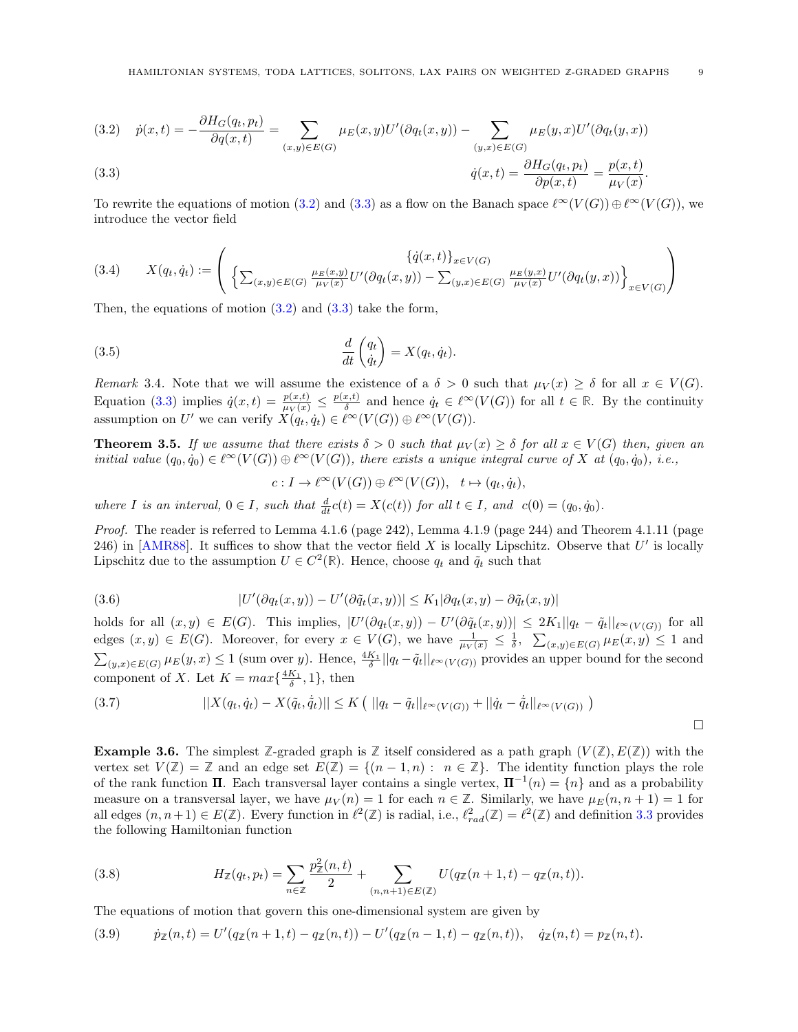<span id="page-8-6"></span><span id="page-8-1"></span>(3.2) 
$$
\dot{p}(x,t) = -\frac{\partial H_G(q_t, p_t)}{\partial q(x,t)} = \sum_{(x,y) \in E(G)} \mu_E(x,y) U'(\partial q_t(x,y)) - \sum_{(y,x) \in E(G)} \mu_E(y,x) U'(\partial q_t(y,x))
$$
  
(3.3) 
$$
\dot{q}(x,t) = \frac{\partial H_G(q_t, p_t)}{\partial p(x,t)} = \frac{p(x,t)}{\mu_V(x)}.
$$

To rewrite the equations of motion [\(3.2\)](#page-8-1) and [\(3.3\)](#page-8-1) as a flow on the Banach space  $\ell^{\infty}(V(G)) \oplus \ell^{\infty}(V(G))$ , we introduce the vector field

<span id="page-8-4"></span>
$$
(3.4) \qquad X(q_t, \dot{q}_t) := \left( \begin{array}{cc} \{ \dot{q}(x,t) \}_{x \in V(G)} & \text{if } (x,y) = \left( 3.4 \right) \\ \left\{ \sum_{(x,y) \in E(G)} \frac{\mu_E(x,y)}{\mu_V(x)} U'(\partial q_t(x,y)) - \sum_{(y,x) \in E(G)} \frac{\mu_E(y,x)}{\mu_V(x)} U'(\partial q_t(y,x)) \right\}_{x \in V(G)} \end{array} \right)
$$

Then, the equations of motion  $(3.2)$  and  $(3.3)$  take the form,

(3.5) 
$$
\frac{d}{dt}\begin{pmatrix} q_t \\ \dot{q}_t \end{pmatrix} = X(q_t, \dot{q}_t).
$$

Remark 3.4. Note that we will assume the existence of a  $\delta > 0$  such that  $\mu_V(x) \geq \delta$  for all  $x \in V(G)$ . Equation [\(3.3\)](#page-8-1) implies  $\dot{q}(x,t) = \frac{p(x,t)}{\mu_V(x)} \leq \frac{p(x,t)}{\delta}$  $\frac{d_i(t)}{\delta}$  and hence  $\dot{q}_t \in \ell^{\infty}(V(G))$  for all  $t \in \mathbb{R}$ . By the continuity assumption on U' we can verify  $X(q_t, \dot{q}_t) \in \ell^{\infty}(V(G)) \oplus \ell^{\infty}(V(G)).$ 

<span id="page-8-0"></span>**Theorem 3.5.** If we assume that there exists  $\delta > 0$  such that  $\mu_V(x) \geq \delta$  for all  $x \in V(G)$  then, given an initial value  $(q_0, \dot{q}_0) \in \ell^{\infty}(V(G)) \oplus \ell^{\infty}(V(G))$ , there exists a unique integral curve of X at  $(q_0, \dot{q}_0)$ , i.e.,

<span id="page-8-3"></span> $c: I \to \ell^{\infty}(V(G)) \oplus \ell^{\infty}(V(G)), \quad t \mapsto (q_t, \dot{q}_t),$ 

where I is an interval,  $0 \in I$ , such that  $\frac{d}{dt}c(t) = X(c(t))$  for all  $t \in I$ , and  $c(0) = (q_0, \dot{q}_0)$ .

Proof. The reader is referred to Lemma 4.1.6 (page 242), Lemma 4.1.9 (page 244) and Theorem 4.1.11 (page 246) in [\[AMR88\]](#page-16-16). It suffices to show that the vector field X is locally Lipschitz. Observe that  $U'$  is locally Lipschitz due to the assumption  $U \in C^2(\mathbb{R})$ . Hence, choose  $q_t$  and  $\tilde{q}_t$  such that

(3.6) 
$$
|U'(\partial q_t(x,y)) - U'(\partial \tilde{q}_t(x,y))| \leq K_1 |\partial q_t(x,y) - \partial \tilde{q}_t(x,y)|
$$

holds for all  $(x, y) \in E(G)$ . This implies,  $|U'(\partial q_t(x, y)) - U'(\partial \tilde{q}_t(x, y))| \leq 2K_1||q_t - \tilde{q}_t||_{\ell^{\infty}(V(G))}$  for all edges  $(x, y) \in E(G)$ . Moreover, for every  $x \in V(G)$ , we have  $\frac{1}{\mu_V(x)} \leq \frac{1}{\delta}$ ,  $\sum_{(x,y) \in E(G)} \mu_E(x,y) \leq 1$  and  $\sum_{(y,x)\in E(G)} \mu_E(y,x) \leq 1$  (sum over y). Hence,  $\frac{4K_1}{\delta} ||q_t - \tilde{q}_t||_{\ell^{\infty}(V(G))}$  provides an upper bound for the second component of X. Let  $K = max\{\frac{4K_1}{\delta}, 1\}$ , then

(3.7) 
$$
||X(q_t, \dot{q}_t) - X(\tilde{q}_t, \dot{\tilde{q}}_t)|| \le K (||q_t - \tilde{q}_t||_{\ell^{\infty}(V(G))} + ||\dot{q}_t - \dot{\tilde{q}}_t||_{\ell^{\infty}(V(G))})
$$

<span id="page-8-5"></span>**Example 3.6.** The simplest  $\mathbb{Z}$ -graded graph is  $\mathbb{Z}$  itself considered as a path graph  $(V(\mathbb{Z}), E(\mathbb{Z}))$  with the vertex set  $V(\mathbb{Z}) = \mathbb{Z}$  and an edge set  $E(\mathbb{Z}) = \{(n-1,n): n \in \mathbb{Z}\}\.$  The identity function plays the role of the rank function  $\Pi$ . Each transversal layer contains a single vertex,  $\Pi^{-1}(n) = \{n\}$  and as a probability measure on a transversal layer, we have  $\mu_V(n) = 1$  for each  $n \in \mathbb{Z}$ . Similarly, we have  $\mu_E(n, n + 1) = 1$  for all edges  $(n, n+1) \in E(\mathbb{Z})$ . Every function in  $\ell^2(\mathbb{Z})$  is radial, i.e.,  $\ell_{rad}^2(\mathbb{Z}) = \ell^2(\mathbb{Z})$  and definition [3.3](#page-7-1) provides the following Hamiltonian function

 $\Box$ 

(3.8) 
$$
H_{\mathbb{Z}}(q_t, p_t) = \sum_{n \in \mathbb{Z}} \frac{p_{\mathbb{Z}}^2(n,t)}{2} + \sum_{(n,n+1) \in E(\mathbb{Z})} U(q_{\mathbb{Z}}(n+1,t) - q_{\mathbb{Z}}(n,t)).
$$

 $22.2$ 

The equations of motion that govern this one-dimensional system are given by

<span id="page-8-2"></span>
$$
(3.9) \t\t\t \dot{p}_{\mathbb{Z}}(n,t) = U'(q_{\mathbb{Z}}(n+1,t) - q_{\mathbb{Z}}(n,t)) - U'(q_{\mathbb{Z}}(n-1,t) - q_{\mathbb{Z}}(n,t)), \t\t \dot{q}_{\mathbb{Z}}(n,t) = p_{\mathbb{Z}}(n,t).
$$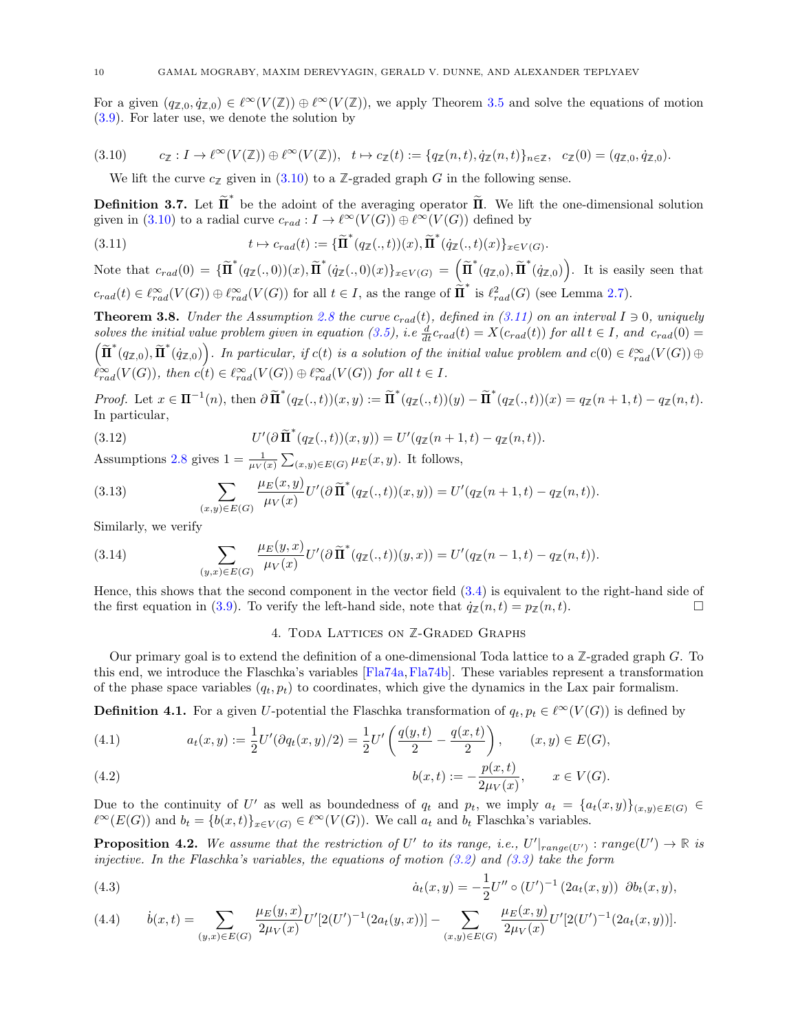<span id="page-9-10"></span>For a given  $(q_{\mathbb{Z},0}, \dot{q}_{\mathbb{Z},0}) \in \ell^{\infty}(V(\mathbb{Z})) \oplus \ell^{\infty}(V(\mathbb{Z}))$ , we apply Theorem [3.5](#page-8-0) and solve the equations of motion [\(3.9\)](#page-8-2). For later use, we denote the solution by

$$
(3.10) \t c_{\mathbb{Z}}: I \to \ell^{\infty}(V(\mathbb{Z})) \oplus \ell^{\infty}(V(\mathbb{Z})), \t t \mapsto c_{\mathbb{Z}}(t) := \{q_{\mathbb{Z}}(n,t), \dot{q}_{\mathbb{Z}}(n,t)\}_{n \in \mathbb{Z}}, \t c_{\mathbb{Z}}(0) = (q_{\mathbb{Z},0}, \dot{q}_{\mathbb{Z},0}).
$$

<span id="page-9-5"></span><span id="page-9-4"></span>We lift the curve  $c_{\mathbb{Z}}$  given in [\(3.10\)](#page-9-4) to a  $\mathbb{Z}$ -graded graph G in the following sense.

<span id="page-9-2"></span>**Definition 3.7.** Let  $\tilde{\mathbf{\Pi}}^*$  be the adoint of the averaging operator  $\tilde{\mathbf{\Pi}}$ . We lift the one-dimensional solution given in [\(3.10\)](#page-9-4) to a radial curve  $c_{rad}: I \to \ell^{\infty}(V(G)) \oplus \ell^{\infty}(V(G))$  defined by

(3.11) 
$$
t \mapsto c_{rad}(t) := \{ \widetilde{\mathbf{\Pi}}^*(q_{\mathbb{Z}}(.,t))(x), \widetilde{\mathbf{\Pi}}^*(\dot{q}_{\mathbb{Z}}(.,t)(x))\}_{x \in V(G)}.
$$

Note that  $c_{rad}(0) = {\{\widetilde{\mathbf{\Pi}}^*(q_{\mathbb{Z}}(.,0))(x), \widetilde{\mathbf{\Pi}}^*(q_{\mathbb{Z}}(.,0)(x)\}_{x \in V(G)} = {\{\widetilde{\mathbf{\Pi}}^*(q_{\mathbb{Z},0}), \widetilde{\mathbf{\Pi}}^*(q_{\mathbb{Z},0})\}}$ . It is easily seen that  $c_{rad}(t) \in \ell_{rad}^{\infty}(V(G)) \oplus \ell_{rad}^{\infty}(V(G))$  for all  $t \in I$ , as the range of  $\tilde{\Pi}^*$  is  $\ell_{rad}^2(G)$  (see Lemma [2.7\)](#page-5-6).

<span id="page-9-1"></span>**Theorem 3.8.** Under the Assumption [2.8](#page-5-0) the curve  $c_{rad}(t)$ , defined in [\(3.11\)](#page-9-5) on an interval  $I \ni 0$ , uniquely solves the initial value problem given in equation [\(3.5\)](#page-8-3), i.e  $\frac{d}{dt}c_{rad}(t) = X(c_{rad}(t))$  for all  $t \in I$ , and  $c_{rad}(0) =$  $(\widetilde{\mathbf{H}}^*(q_{\mathbb{Z},0}), \widetilde{\mathbf{H}}^*(q_{\mathbb{Z},0}))$ . In particular, if  $c(t)$  is a solution of the initial value problem and  $c(0) \in \ell_{rad}^{\infty}(V(G)) \oplus$  $\ell_{rad}^{\infty}(V(G))$ , then  $c(t) \in \ell_{rad}^{\infty}(V(G)) \oplus \ell_{rad}^{\infty}(V(G))$  for all  $t \in I$ .

Proof. Let  $x \in \Pi^{-1}(n)$ , then  $\partial \tilde{\Pi}^*(q_{\mathbb{Z}}(.,t))(x,y) := \tilde{\Pi}^*(q_{\mathbb{Z}}(.,t))(y) - \tilde{\Pi}^*(q_{\mathbb{Z}}(.,t))(x) = q_{\mathbb{Z}}(n+1,t) - q_{\mathbb{Z}}(n,t)$ . In particular,

(3.12) 
$$
U'(\partial \widetilde{\Pi}^*(q_{\mathbb{Z}}(.,t))(x,y)) = U'(q_{\mathbb{Z}}(n+1,t) - q_{\mathbb{Z}}(n,t)).
$$

Assumptions [2.8](#page-5-0) gives  $1 = \frac{1}{\mu_V(x)} \sum_{(x,y) \in E(G)} \mu_E(x,y)$ . It follows,

(3.13) 
$$
\sum_{(x,y)\in E(G)} \frac{\mu_E(x,y)}{\mu_V(x)} U'(\partial \widetilde{\Pi}^*(q_{\mathbb{Z}}(.,t))(x,y)) = U'(q_{\mathbb{Z}}(n+1,t) - q_{\mathbb{Z}}(n,t)).
$$

Similarly, we verify

(3.14) 
$$
\sum_{(y,x)\in E(G)} \frac{\mu_E(y,x)}{\mu_V(x)} U'(\partial \widetilde{\Pi}^*(q_{\mathbb{Z}}(.,t))(y,x)) = U'(q_{\mathbb{Z}}(n-1,t) - q_{\mathbb{Z}}(n,t)).
$$

Hence, this shows that the second component in the vector field [\(3.4\)](#page-8-4) is equivalent to the right-hand side of the first equation in [\(3.9\)](#page-8-2). To verify the left-hand side, note that  $\dot{q}_\mathbb{Z}(n,t) = p_\mathbb{Z}(n,t)$ .

### 4. Toda Lattices on **Z**-Graded Graphs

<span id="page-9-0"></span>Our primary goal is to extend the definition of a one-dimensional Toda lattice to a **Z**-graded graph G. To this end, we introduce the Flaschka's variables [\[Fla74a,](#page-17-25)[Fla74b\]](#page-17-16). These variables represent a transformation of the phase space variables  $(q_t, p_t)$  to coordinates, which give the dynamics in the Lax pair formalism.

<span id="page-9-3"></span>**Definition 4.1.** For a given U-potential the Flaschka transformation of  $q_t, p_t \in \ell^{\infty}(V(G))$  is defined by

<span id="page-9-6"></span>(4.1) 
$$
a_t(x,y) := \frac{1}{2}U'(\partial q_t(x,y)/2) = \frac{1}{2}U'\left(\frac{q(y,t)}{2} - \frac{q(x,t)}{2}\right), \qquad (x,y) \in E(G),
$$

<span id="page-9-8"></span>(4.2) 
$$
b(x,t) := -\frac{p(x,t)}{2\mu_V(x)}, \qquad x \in V(G).
$$

Due to the continuity of U' as well as boundedness of  $q_t$  and  $p_t$ , we imply  $a_t = \{a_t(x,y)\}_{(x,y)\in E(G)} \in$  $\ell^{\infty}(E(G))$  and  $b_t = \{b(x,t)\}_{x \in V(G)} \in \ell^{\infty}(V(G))$ . We call  $a_t$  and  $b_t$  Flaschka's variables.

**Proposition 4.2.** We assume that the restriction of U' to its range, i.e.,  $U'|_{range(U')}$ :  $range(U') \rightarrow \mathbb{R}$  is injective. In the Flaschka's variables, the equations of motion  $(3.2)$  and  $(3.3)$  take the form

<span id="page-9-7"></span>(4.3) 
$$
\dot{a}_t(x,y) = -\frac{1}{2}U'' \circ (U')^{-1} (2a_t(x,y)) \partial b_t(x,y),
$$

<span id="page-9-9"></span>
$$
(4.4) \t\t b(x,t) = \sum_{(y,x)\in E(G)} \frac{\mu_E(y,x)}{2\mu_V(x)} U'[2(U')^{-1}(2a_t(y,x))] - \sum_{(x,y)\in E(G)} \frac{\mu_E(x,y)}{2\mu_V(x)} U'[2(U')^{-1}(2a_t(x,y))].
$$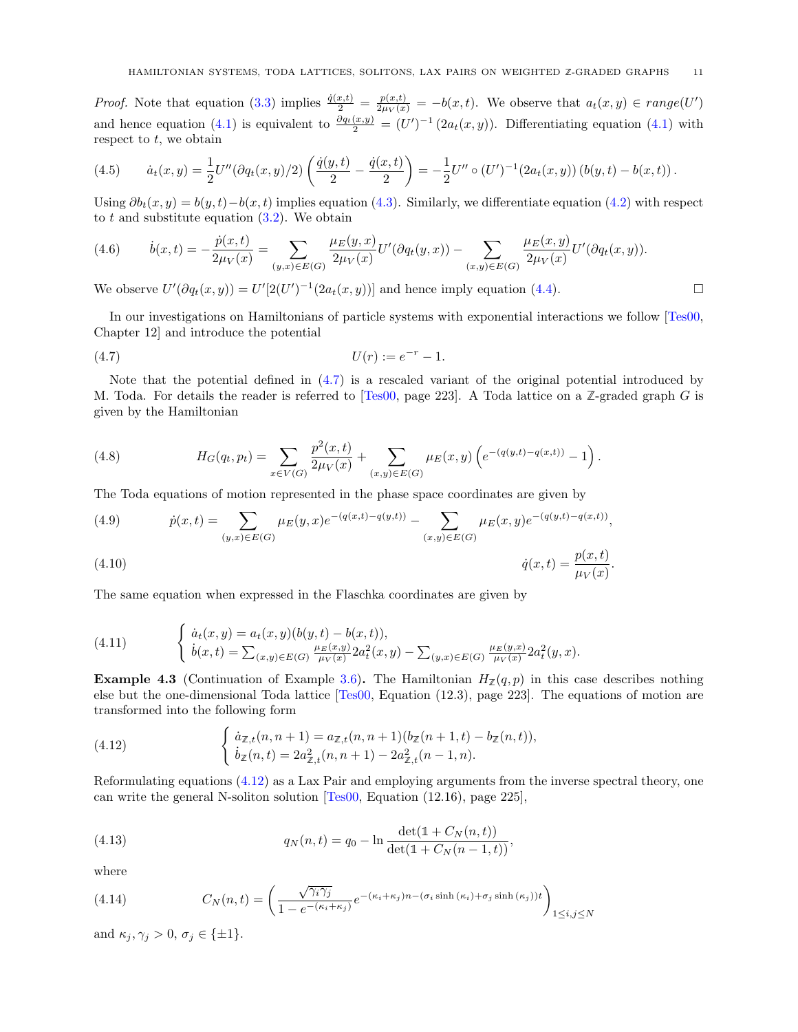<span id="page-10-4"></span>*Proof.* Note that equation [\(3.3\)](#page-8-1) implies  $\frac{\dot{q}(x,t)}{2} = \frac{p(x,t)}{2\mu_V(x)} = -b(x,t)$ . We observe that  $a_t(x,y) \in range(U')$ and hence equation [\(4.1\)](#page-9-6) is equivalent to  $\frac{\partial q_t(x,y)}{2} = (U')^{-1} (2a_t(x,y))$ . Differentiating equation (4.1) with respect to  $t$ , we obtain

(4.5) 
$$
\dot{a}_t(x,y) = \frac{1}{2}U''(\partial q_t(x,y)/2)\left(\frac{\dot{q}(y,t)}{2} - \frac{\dot{q}(x,t)}{2}\right) = -\frac{1}{2}U'' \circ (U')^{-1}(2a_t(x,y))(b(y,t) - b(x,t)).
$$

Using  $\partial b_t(x, y) = b(y, t) - b(x, t)$  implies equation [\(4.3\)](#page-9-7). Similarly, we differentiate equation [\(4.2\)](#page-9-8) with respect to  $t$  and substitute equation  $(3.2)$ . We obtain

(4.6) 
$$
\dot{b}(x,t) = -\frac{\dot{p}(x,t)}{2\mu_V(x)} = \sum_{(y,x)\in E(G)} \frac{\mu_E(y,x)}{2\mu_V(x)} U'(\partial q_t(y,x)) - \sum_{(x,y)\in E(G)} \frac{\mu_E(x,y)}{2\mu_V(x)} U'(\partial q_t(x,y)).
$$

We observe  $U'(\partial q_t(x, y)) = U'[2(U')^{-1}(2a_t(x, y))]$  and hence imply equation [\(4.4\)](#page-9-9).

In our investigations on Hamiltonians of particle systems with exponential interactions we follow [\[Tes00,](#page-17-15) Chapter 12] and introduce the potential

<span id="page-10-0"></span>(4.7) 
$$
U(r) := e^{-r} - 1.
$$

Note that the potential defined in  $(4.7)$  is a rescaled variant of the original potential introduced by M. Toda. For details the reader is referred to [\[Tes00,](#page-17-15) page 223]. A Toda lattice on a **Z**-graded graph G is given by the Hamiltonian

(4.8) 
$$
H_G(q_t, p_t) = \sum_{x \in V(G)} \frac{p^2(x,t)}{2\mu_V(x)} + \sum_{(x,y) \in E(G)} \mu_E(x,y) \left( e^{-(q(y,t) - q(x,t))} - 1 \right).
$$

The Toda equations of motion represented in the phase space coordinates are given by

(4.9) 
$$
\dot{p}(x,t) = \sum_{(y,x)\in E(G)} \mu_E(y,x)e^{-(q(x,t)-q(y,t))} - \sum_{(x,y)\in E(G)} \mu_E(x,y)e^{-(q(y,t)-q(x,t))},
$$

$$
\dot{q}(x,t) = \frac{p(x,t)}{\mu_V(x)}.
$$

The same equation when expressed in the Flaschka coordinates are given by

<span id="page-10-3"></span>(4.11) 
$$
\begin{cases} \dot{a}_t(x,y) = a_t(x,y)(b(y,t) - b(x,t)), \\ \dot{b}(x,t) = \sum_{(x,y)\in E(G)} \frac{\mu_E(x,y)}{\mu_V(x)} 2a_t^2(x,y) - \sum_{(y,x)\in E(G)} \frac{\mu_E(y,x)}{\mu_V(x)} 2a_t^2(y,x). \end{cases}
$$

**Example 4.3** (Continuation of Example [3.6\)](#page-8-5). The Hamiltonian  $H_{\mathbb{Z}}(q,p)$  in this case describes nothing else but the one-dimensional Toda lattice [\[Tes00,](#page-17-15) Equation (12.3), page 223]. The equations of motion are transformed into the following form

<span id="page-10-1"></span>(4.12) 
$$
\begin{cases} \dot{a}_{\mathbb{Z},t}(n,n+1) = a_{\mathbb{Z},t}(n,n+1)(b_{\mathbb{Z}}(n+1,t) - b_{\mathbb{Z}}(n,t)), \\ \dot{b}_{\mathbb{Z}}(n,t) = 2a_{\mathbb{Z},t}^2(n,n+1) - 2a_{\mathbb{Z},t}^2(n-1,n). \end{cases}
$$

Reformulating equations [\(4.12\)](#page-10-1) as a Lax Pair and employing arguments from the inverse spectral theory, one can write the general N-soliton solution [\[Tes00,](#page-17-15) Equation (12.16), page 225],

<span id="page-10-2"></span>(4.13) 
$$
q_N(n,t) = q_0 - \ln \frac{\det(\mathbb{1} + C_N(n,t))}{\det(\mathbb{1} + C_N(n-1,t))},
$$

where

(4.14) 
$$
C_N(n,t) = \left(\frac{\sqrt{\gamma_i \gamma_j}}{1 - e^{-(\kappa_i + \kappa_j)}} e^{-(\kappa_i + \kappa_j)n - (\sigma_i \sinh(\kappa_i) + \sigma_j \sinh(\kappa_j))t}\right)_{1 \leq i,j \leq N}
$$

and  $\kappa_j, \gamma_j > 0, \sigma_j \in \{\pm 1\}.$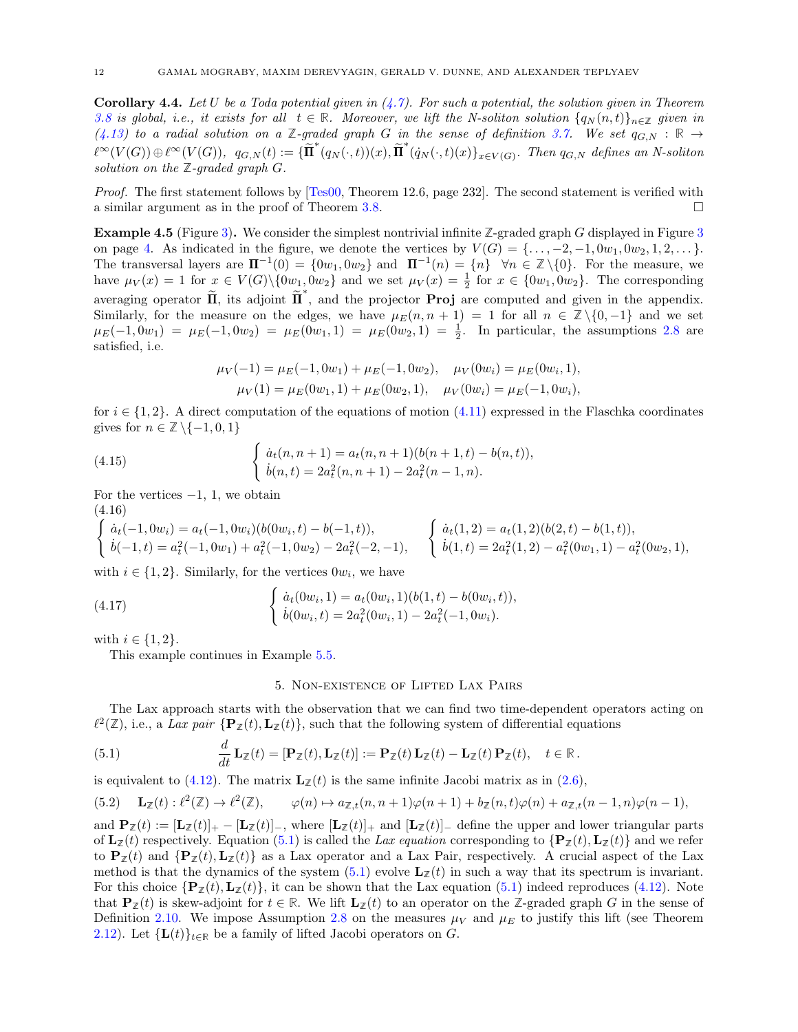<span id="page-11-8"></span><span id="page-11-2"></span>**Corollary 4.4.** Let U be a Toda potential given in  $(4.7)$ . For such a potential, the solution given in Theorem [3.8](#page-9-1) is global, i.e., it exists for all  $t \in \mathbb{R}$ . Moreover, we lift the N-soliton solution  $\{q_N(n,t)\}_{n\in\mathbb{Z}}$  given in  $(4.13)$  to a radial solution on a **Z**-graded graph G in the sense of definition [3.7.](#page-9-2) We set  $q_{G,N}$  : **R**  $\rightarrow$  $\ell^{\infty}(V(G)) \oplus \ell^{\infty}(V(G)), q_{G,N}(t) := {\{\widetilde{\Pi}^*(q_N(\cdot,t))(x), \widetilde{\Pi}^*(q_N(\cdot,t)(x)\}_{x \in V(G)}$ . Then  $q_{G,N}$  defines an N-soliton solution on the  $\mathbb{Z}$ -graded graph  $G$ .

Proof. The first statement follows by [\[Tes00,](#page-17-15) Theorem 12.6, page 232]. The second statement is verified with a similar argument as in the proof of Theorem [3.8.](#page-9-1)

<span id="page-11-1"></span>Example 4.5 (Figure [3\)](#page-3-1). We consider the simplest nontrivial infinite **Z**-graded graph G displayed in Figure [3](#page-3-1) on page [4.](#page-3-1) As indicated in the figure, we denote the vertices by  $V(G) = \{\ldots, -2, -1, 0w_1, 0w_2, 1, 2, \ldots\}$ . The transversal layers are  $\Pi^{-1}(0) = \{0w_1, 0w_2\}$  and  $\Pi^{-1}(n) = \{n\}$   $\forall n \in \mathbb{Z} \setminus \{0\}$ . For the measure, we have  $\mu_V(x) = 1$  for  $x \in V(G) \setminus \{0w_1, 0w_2\}$  and we set  $\mu_V(x) = \frac{1}{2}$  for  $x \in \{0w_1, 0w_2\}$ . The corresponding averaging operator  $\tilde{\Pi}$ , its adjoint  $\tilde{\Pi}^*$ , and the projector **Proj** are computed and given in the appendix. Similarly, for the measure on the edges, we have  $\mu_E(n, n + 1) = 1$  for all  $n \in \mathbb{Z} \setminus \{0, -1\}$  and we set  $\mu_E(-1, 0w_1) = \mu_E(-1, 0w_2) = \mu_E(0w_1, 1) = \mu_E(0w_2, 1) = \frac{1}{2}$ . In particular, the assumptions [2.8](#page-5-0) are satisfied, i.e.

<span id="page-11-4"></span>
$$
\mu_V(-1) = \mu_E(-1, 0w_1) + \mu_E(-1, 0w_2), \quad \mu_V(0w_i) = \mu_E(0w_i, 1),
$$
  

$$
\mu_V(1) = \mu_E(0w_1, 1) + \mu_E(0w_2, 1), \quad \mu_V(0w_i) = \mu_E(-1, 0w_i),
$$

for  $i \in \{1,2\}$ . A direct computation of the equations of motion  $(4.11)$  expressed in the Flaschka coordinates gives for  $n \in \mathbb{Z} \setminus \{-1, 0, 1\}$ 

(4.15) 
$$
\begin{cases} \dot{a}_t(n,n+1) = a_t(n,n+1)(b(n+1,t) - b(n,t)), \\ \dot{b}(n,t) = 2a_t^2(n,n+1) - 2a_t^2(n-1,n). \end{cases}
$$

For the vertices  $-1$ , 1, we obtain

(4.16)

<span id="page-11-5"></span>
$$
\begin{cases}\n\dot{a}_t(-1,0w_i) = a_t(-1,0w_i)(b(0w_i,t) - b(-1,t)), \\
\dot{b}(-1,t) = a_t^2(-1,0w_1) + a_t^2(-1,0w_2) - 2a_t^2(-2,-1),\n\end{cases}\n\begin{cases}\n\dot{a}_t(1,2) = a_t(1,2)(b(2,t) - b(1,t)), \\
\dot{b}(1,t) = 2a_t^2(1,2) - a_t^2(0w_1,1) - a_t^2(0w_2,1),\n\end{cases}
$$

with  $i \in \{1, 2\}$ . Similarly, for the vertices  $0w_i$ , we have

(4.17) 
$$
\begin{cases} \dot{a}_t(0w_i, 1) = a_t(0w_i, 1)(b(1, t) - b(0w_i, t)), \\ \dot{b}(0w_i, t) = 2a_t^2(0w_i, 1) - 2a_t^2(-1, 0w_i). \end{cases}
$$

with  $i \in \{1, 2\}$ .

This example continues in Example [5.5.](#page-12-0)

#### <span id="page-11-6"></span><span id="page-11-3"></span>5. Non-existence of Lifted Lax Pairs

<span id="page-11-0"></span>The Lax approach starts with the observation that we can find two time-dependent operators acting on  $\ell^2(\mathbb{Z})$ , i.e., a Lax pair  $\{P_{\mathbb{Z}}(t), L_{\mathbb{Z}}(t)\}$ , such that the following system of differential equations

(5.1) 
$$
\frac{d}{dt} \mathbf{L}_{\mathbb{Z}}(t) = [\mathbf{P}_{\mathbb{Z}}(t), \mathbf{L}_{\mathbb{Z}}(t)] := \mathbf{P}_{\mathbb{Z}}(t) \mathbf{L}_{\mathbb{Z}}(t) - \mathbf{L}_{\mathbb{Z}}(t) \mathbf{P}_{\mathbb{Z}}(t), \quad t \in \mathbb{R}.
$$

is equivalent to [\(4.12\)](#page-10-1). The matrix  $\mathbf{L}_\mathbb{Z}(t)$  is the same infinite Jacobi matrix as in [\(2.6\)](#page-5-7),

<span id="page-11-7"></span>
$$
(5.2) \qquad \mathbf{L}_{\mathbb{Z}}(t) : \ell^2(\mathbb{Z}) \to \ell^2(\mathbb{Z}), \qquad \varphi(n) \mapsto a_{\mathbb{Z},t}(n,n+1)\varphi(n+1) + b_{\mathbb{Z}}(n,t)\varphi(n) + a_{\mathbb{Z},t}(n-1,n)\varphi(n-1),
$$

and  $\mathbf{P}_{\mathbb{Z}}(t) := [\mathbf{L}_{\mathbb{Z}}(t)]_+ - [\mathbf{L}_{\mathbb{Z}}(t)]_-,$  where  $[\mathbf{L}_{\mathbb{Z}}(t)]_+$  and  $[\mathbf{L}_{\mathbb{Z}}(t)]_-,$  define the upper and lower triangular parts of  $\mathbf{L}_{\mathbb{Z}}(t)$  respectively. Equation [\(5.1\)](#page-11-3) is called the Lax equation corresponding to  $\{\mathbf{P}_{\mathbb{Z}}(t), \mathbf{L}_{\mathbb{Z}}(t)\}\)$  and we refer to  $\mathbf{P}_{\mathcal{J}}(t)$  and  $\{\mathbf{P}_{\mathcal{J}}(t),\mathbf{L}_{\mathcal{J}}(t)\}\$  as a Lax operator and a Lax Pair, respectively. A crucial aspect of the Lax method is that the dynamics of the system  $(5.1)$  evolve  $\mathbf{L}_{\mathbb{Z}}(t)$  in such a way that its spectrum is invariant. For this choice  $\{P_Z(t), L_Z(t)\}$ , it can be shown that the Lax equation [\(5.1\)](#page-11-3) indeed reproduces [\(4.12\)](#page-10-1). Note that  $P_Z(t)$  is skew-adjoint for  $t \in \mathbb{R}$ . We lift  $L_Z(t)$  to an operator on the Z-graded graph G in the sense of Definition [2.10.](#page-5-3) We impose Assumption [2.8](#page-5-0) on the measures  $\mu_V$  and  $\mu_E$  to justify this lift (see Theorem [2.12\)](#page-5-1). Let  ${\{\mathbf L}(t)\}_{t\in\mathbb{R}}$  be a family of lifted Jacobi operators on G.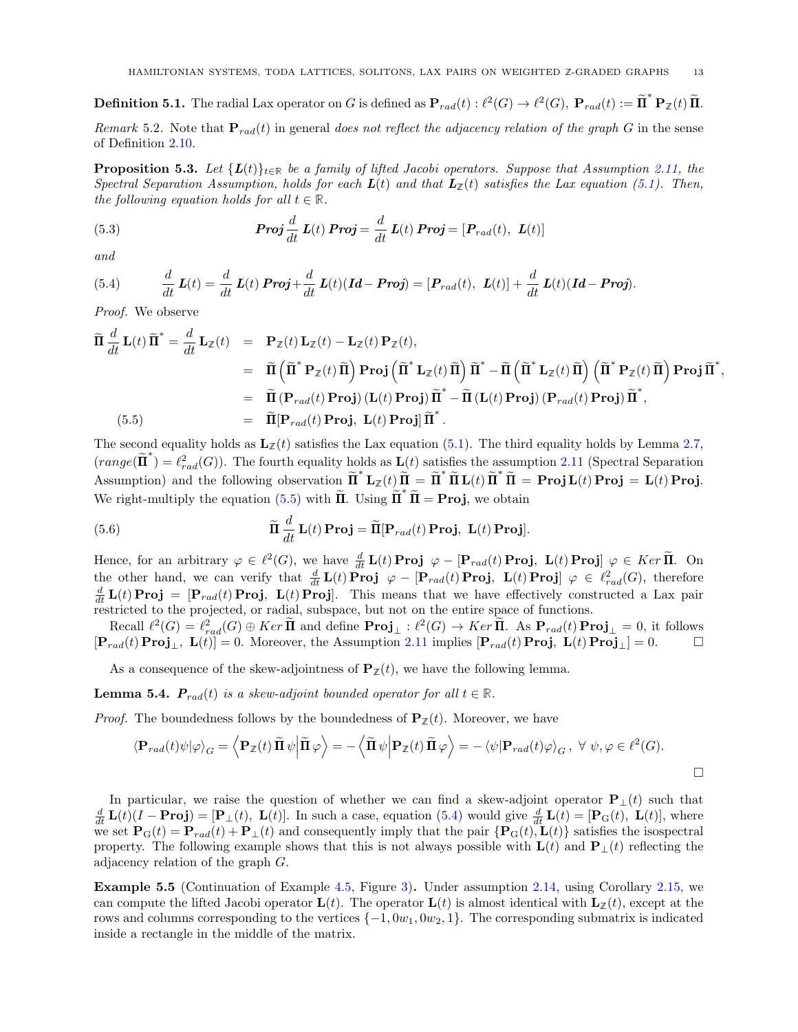**Definition 5.1.** The radial Lax operator on G is defined as  $\mathbf{P}_{rad}(t) : \ell^2(G) \to \ell^2(G)$ ,  $\mathbf{P}_{rad}(t) := \widetilde{\mathbf{\Pi}}^* \mathbf{P}_{\mathbb{Z}}(t) \widetilde{\mathbf{\Pi}}$ .

Remark 5.2. Note that  $P_{rad}(t)$  in general does not reflect the adjacency relation of the graph G in the sense of Definition [2.10.](#page-5-3)

<span id="page-12-3"></span>**Proposition 5.3.** Let  $\{L(t)\}_{t\in\mathbb{R}}$  be a family of lifted Jacobi operators. Suppose that Assumption [2.11,](#page-5-5) the Spectral Separation Assumption, holds for each  $\mathbf{L}(t)$  and that  $\mathbf{L}_{\mathbb{Z}}(t)$  satisfies the Lax equation [\(5.1\)](#page-11-3). Then, the following equation holds for all  $t \in \mathbb{R}$ .

(5.3) 
$$
Proj \frac{d}{dt} L(t) Proj = \frac{d}{dt} L(t) Proj = [P_{rad}(t), L(t)]
$$

and

<span id="page-12-2"></span>(5.4) 
$$
\frac{d}{dt}\mathbf{L}(t) = \frac{d}{dt}\mathbf{L}(t)\mathbf{Proj} + \frac{d}{dt}\mathbf{L}(t)(\mathbf{Id} - \mathbf{Proj}) = [\mathbf{P}_{rad}(t), \ \mathbf{L}(t)] + \frac{d}{dt}\mathbf{L}(t)(\mathbf{Id} - \mathbf{Proj}).
$$

Proof. We observe

<span id="page-12-1"></span>
$$
\widetilde{\mathbf{\Pi}} \frac{d}{dt} \mathbf{L}(t) \widetilde{\mathbf{\Pi}}^* = \frac{d}{dt} \mathbf{L}_{\mathbb{Z}}(t) = \mathbf{P}_{\mathbb{Z}}(t) \mathbf{L}_{\mathbb{Z}}(t) - \mathbf{L}_{\mathbb{Z}}(t) \mathbf{P}_{\mathbb{Z}}(t), \n= \widetilde{\mathbf{\Pi}} \left( \widetilde{\mathbf{\Pi}}^* \mathbf{P}_{\mathbb{Z}}(t) \widetilde{\mathbf{\Pi}} \right) \mathbf{Proj} \left( \widetilde{\mathbf{\Pi}}^* \mathbf{L}_{\mathbb{Z}}(t) \widetilde{\mathbf{\Pi}} \right) \widetilde{\mathbf{\Pi}}^* - \widetilde{\mathbf{\Pi}} \left( \widetilde{\mathbf{\Pi}}^* \mathbf{L}_{\mathbb{Z}}(t) \widetilde{\mathbf{\Pi}} \right) \left( \widetilde{\mathbf{\Pi}}^* \mathbf{P}_{\mathbb{Z}}(t) \widetilde{\mathbf{\Pi}} \right) \mathbf{Proj} \widetilde{\mathbf{\Pi}}^*, \n= \widetilde{\mathbf{\Pi}} \left( \mathbf{P}_{rad}(t) \mathbf{Proj} \right) (\mathbf{L}(t) \mathbf{Proj} \widetilde{\mathbf{\Pi}}^* - \widetilde{\mathbf{\Pi}} (\mathbf{L}(t) \mathbf{Proj}) (\mathbf{P}_{rad}(t) \mathbf{Proj}) \widetilde{\mathbf{\Pi}}^*, \n= \widetilde{\mathbf{\Pi}} [\mathbf{P}_{rad}(t) \mathbf{Proj}, \mathbf{L}(t) \mathbf{Proj} \widetilde{\mathbf{\Pi}}^*.
$$

The second equality holds as  $\mathbf{L}_{\mathbb{Z}}(t)$  satisfies the Lax equation [\(5.1\)](#page-11-3). The third equality holds by Lemma [2.7,](#page-5-6)  $(range(\tilde{\Pi}^*) = \ell_{rad}^2(G))$ . The fourth equality holds as  $\mathbf{L}(t)$  satisfies the assumption [2.11](#page-5-5) (Spectral Separation Assumption) and the following observation  $\tilde{\mathbf{\Pi}}^* \mathbf{L}_{\mathbb{Z}}(t) \tilde{\mathbf{\Pi}} = \tilde{\mathbf{\Pi}}^* \tilde{\mathbf{\Pi}} \mathbf{L}(t) \tilde{\mathbf{\Pi}}^* \tilde{\mathbf{\Pi}} = \mathbf{Proj} \mathbf{L}(t) \mathbf{Proj} = \mathbf{L}(t) \mathbf{Proj}.$ We right-multiply the equation [\(5.5\)](#page-12-1) with  $\tilde{\Pi}$ . Using  $\tilde{\Pi}^* \tilde{\Pi} = \textbf{Proj}$ , we obtain

(5.6) 
$$
\widetilde{\mathbf{\Pi}} \frac{d}{dt} \mathbf{L}(t) \mathbf{Proj} = \widetilde{\mathbf{\Pi}}[\mathbf{P}_{rad}(t) \mathbf{Proj}, \ \mathbf{L}(t) \mathbf{Proj}].
$$

Hence, for an arbitrary  $\varphi \in \ell^2(G)$ , we have  $\frac{d}{dt} L(t) \text{Proj} \varphi - [\mathbf{P}_{rad}(t) \text{Proj}, L(t) \text{Proj} \varphi \in \text{Ker } \tilde{\Pi}$ . On the other hand, we can verify that  $\frac{d}{dt} L(t) \textbf{Proj} \varphi - [\mathbf{P}_{rad}(t) \textbf{Proj}, L(t) \textbf{Proj}] \varphi \in \ell_{rad}^2(G)$ , therefore  $\frac{d}{dt}$ **L**(t) **Proj** = [**P**<sub>rad</sub>(t) **Proj**, **L**(t) **Proj**]. This means that we have effectively constructed a Lax pair restricted to the projected, or radial, subspace, but not on the entire space of functions.

 $Recall \ell^2(G) = \ell^2_{rad}(G) \oplus Ker \overline{\Pi}$  and define  $\textbf{Proj}_{\perp} : \ell^2(G) \to Ker \overline{\Pi}$ . As  $\textbf{P}_{rad}(t) \textbf{Proj}_{\perp} = 0$ , it follows  $[\mathbf{P}_{rad}(t) \operatorname{Proj}_{\perp}, \mathbf{L}(t)] = 0.$  Moreover, the Assumption [2.11](#page-5-5) implies  $[\mathbf{P}_{rad}(t) \operatorname{Proj}_{\perp}, \mathbf{L}(t) \operatorname{Proj}_{\perp}] = 0.$ 

As a consequence of the skew-adjointness of  $\mathbf{P}_{\mathbb{Z}}(t)$ , we have the following lemma.

**Lemma 5.4.**  $P_{rad}(t)$  is a skew-adjoint bounded operator for all  $t \in \mathbb{R}$ .

*Proof.* The boundedness follows by the boundedness of  $P_{\mathbb{Z}}(t)$ . Moreover, we have

$$
\langle \mathbf{P}_{rad}(t)\psi|\varphi\rangle_G = \left\langle \mathbf{P}_{\mathbb{Z}}(t)\widetilde{\mathbf{\Pi}}\,\psi\bigg|\widetilde{\mathbf{\Pi}}\,\varphi\right\rangle = -\left\langle \widetilde{\mathbf{\Pi}}\,\psi\bigg|\mathbf{P}_{\mathbb{Z}}(t)\widetilde{\mathbf{\Pi}}\,\varphi\right\rangle = -\left\langle \psi|\mathbf{P}_{rad}(t)\varphi\rangle_G, \ \forall \ \psi, \varphi \in \ell^2(G).
$$

In particular, we raise the question of whether we can find a skew-adjoint operator  $P_{\perp}(t)$  such that  $\frac{d}{dt} \mathbf{L}(t)(I - \mathbf{Proj}) = [\mathbf{P}_{\perp}(t), \mathbf{L}(t)].$  In such a case, equation [\(5.4\)](#page-12-2) would give  $\frac{d}{dt} \mathbf{L}(t) = [\mathbf{P}_{\mathbf{G}}(t), \mathbf{L}(t)],$  where we set  $\mathbf{P}_{\mathbf{G}}(t) = \mathbf{P}_{rad}(t) + \mathbf{P}_{\perp}(t)$  and consequently imply that the pair  $\{\mathbf{P}_{\mathbf{G}}(t), \mathbf{L}(t)\}\$  satisfies the isospectral property. The following example shows that this is not always possible with  $\mathbf{L}(t)$  and  $\mathbf{P}_{\perp}(t)$  reflecting the adjacency relation of the graph G.

<span id="page-12-0"></span>Example 5.5 (Continuation of Example [4.5,](#page-11-1) Figure [3\)](#page-3-1). Under assumption [2.14,](#page-7-2) using Corollary [2.15,](#page-7-3) we can compute the lifted Jacobi operator  $\mathbf{L}(t)$ . The operator  $\mathbf{L}(t)$  is almost identical with  $\mathbf{L}_{\mathbb{Z}}(t)$ , except at the rows and columns corresponding to the vertices  $\{-1, 0w_1, 0w_2, 1\}$ . The corresponding submatrix is indicated inside a rectangle in the middle of the matrix.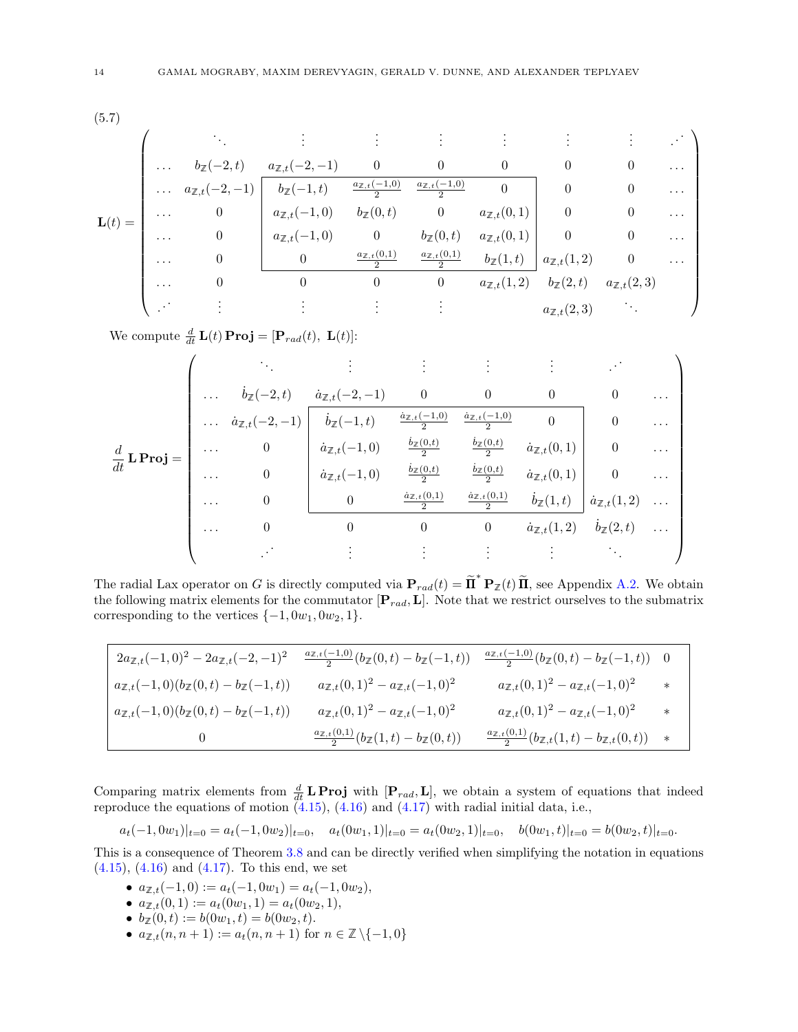(5.7)

<span id="page-13-0"></span>
$$
\mathbf{L}(t) = \begin{pmatrix}\n\vdots & \vdots & \vdots & \vdots & \vdots & \vdots \\
\ldots & b_{\mathbb{Z}}(-2,t) & \frac{a_{\mathbb{Z},t}(-2,-1)}{b_{\mathbb{Z}}(-1,t)} & \frac{a_{\mathbb{Z},t}(-1,0)}{2} & 0 & 0 & 0 & \ldots \\
\ldots & a_{\mathbb{Z},t}(-2,-1) & \frac{b_{\mathbb{Z}}(-1,t)}{b_{\mathbb{Z}}(-1,t)} & \frac{a_{\mathbb{Z},t}(-1,0)}{2} & 0 & 0 & 0 & \ldots \\
\ldots & 0 & a_{\mathbb{Z},t}(-1,0) & b_{\mathbb{Z}}(0,t) & 0 & a_{\mathbb{Z},t}(0,1) & 0 & 0 & \ldots \\
\ldots & 0 & 0 & \frac{a_{\mathbb{Z},t}(0,1)}{2} & \frac{a_{\mathbb{Z},t}(0,1)}{2} & b_{\mathbb{Z}}(1,t) & 0 & 0 & \ldots \\
\ldots & 0 & 0 & 0 & 0 & a_{\mathbb{Z},t}(1,2) & 0 & \ldots \\
\ldots & 0 & 0 & 0 & 0 & a_{\mathbb{Z},t}(1,2) & b_{\mathbb{Z}}(2,t) & a_{\mathbb{Z},t}(2,3) & \ldots\n\end{pmatrix}
$$

We compute  $\frac{d}{dt} \mathbf{L}(t) \mathbf{Proj} = [\mathbf{P}_{rad}(t), \ \mathbf{L}(t)]$ :

| $\frac{d}{dt}$ <b>L</b> Proj = | .        | $\dot{b}_\mathbb{Z}(-2,t)$      | $\dot{a}_{\mathbb{Z},t}(-2,-1)$ | $\boldsymbol{0}$                          |                                            |                               | 0                             | .        |
|--------------------------------|----------|---------------------------------|---------------------------------|-------------------------------------------|--------------------------------------------|-------------------------------|-------------------------------|----------|
|                                | $\cdots$ | $\dot{a}_{\mathbb{Z},t}(-2,-1)$ | $\dot{b}_\mathbb{Z}(-1,t)$      | $\frac{\dot{a}_{\mathbb{Z},t}(-1,0)}{2}$  | $\underline{\dot{a}}_{\mathbb{Z},t}(-1,0)$ | $\theta$                      | $\theta$                      | $\cdots$ |
|                                | .        | $\theta$                        | $\dot{a}_{\mathbb{Z},t}(-1,0)$  | $rac{b_{\mathbb{Z}}(0,t)}{2}$             | $rac{b_{\mathbb{Z}}(0,t)}{2}$              | $\dot{a}_{\mathbb{Z},t}(0,1)$ | $\overline{0}$                | $\cdots$ |
|                                | .        | $\theta$                        | $\dot{a}_{\mathbb{Z},t}(-1,0)$  | $rac{b_{\mathbb{Z}}(0,t)}{2}$             | $rac{b_{\mathbb{Z}}(0,t)}{2}$              | $\dot{a}_{\mathbb{Z},t}(0,1)$ | $\Omega$                      | $\cdots$ |
|                                | .        | 0                               |                                 | $\underline{\dot{a}_{\mathbb{Z},t}(0,1)}$ | $\underline{\dot{a}_{\mathbb{Z},t}(0,1)}$  | $\dot{b}_\mathbb{Z}(1,t)$     | $\dot{a}_{\mathbb{Z},t}(1,2)$ |          |
|                                | .        |                                 |                                 |                                           | $\boldsymbol{0}$                           | $\dot{a}_{\mathbb{Z},t}(1,2)$ | $b_{\mathbb{Z}}(2,t)$         | $\cdots$ |
|                                |          |                                 |                                 |                                           |                                            |                               |                               |          |

The radial Lax operator on G is directly computed via  $\mathbf{P}_{rad}(t) = \tilde{\mathbf{\Pi}}^* \mathbf{P}_{\mathbb{Z}}(t) \tilde{\mathbf{\Pi}}$ , see Appendix [A.2.](#page-18-2) We obtain the following matrix elements for the commutator  $[\mathbf{P}_{rad}, \mathbf{L}]$ . Note that we restrict ourselves to the submatrix corresponding to the vertices  $\{-1, 0w_1, 0w_2, 1\}.$ 

| $2a_{\mathbb{Z},t}(-1,0)^2 - 2a_{\mathbb{Z},t}(-2,-1)^2$           | $\frac{a_{\mathbb{Z},t}(-1,0)}{2}(b_{\mathbb{Z}}(0,t)-b_{\mathbb{Z}}(-1,t))$ | $\frac{a_{\mathbb{Z},t}(-1,0)}{2}(b_{\mathbb{Z}}(0,t)-b_{\mathbb{Z}}(-1,t))$ 0           |     |
|--------------------------------------------------------------------|------------------------------------------------------------------------------|------------------------------------------------------------------------------------------|-----|
| $a_{\mathbb{Z},t}(-1,0)(b_{\mathbb{Z}}(0,t)-b_{\mathbb{Z}}(-1,t))$ | $a_{\mathbb{Z},t}(0,1)^2 - a_{\mathbb{Z},t}(-1,0)^2$                         | $a_{\mathbb{Z},t}(0,1)^2 - a_{\mathbb{Z},t}(-1,0)^2$                                     | $*$ |
| $a_{\mathbb{Z},t}(-1,0)(b_{\mathbb{Z}}(0,t)-b_{\mathbb{Z}}(-1,t))$ | $a_{\mathbb{Z},t}(0,1)^2 - a_{\mathbb{Z},t}(-1,0)^2$                         | $a_{\mathbb{Z},t}(0,1)^2 - a_{\mathbb{Z},t}(-1,0)^2$                                     | $*$ |
| $\overline{0}$                                                     | $\frac{a_{\mathbb{Z},t}(0,1)}{2}(b_{\mathbb{Z}}(1,t)-b_{\mathbb{Z}}(0,t))$   | $\frac{a_{\mathbb{Z},t}(0,1)}{2}(b_{\mathbb{Z},t}(1,t)-b_{\mathbb{Z},t}(0,t))\quad \ast$ |     |

Comparing matrix elements from  $\frac{d}{dt}$  **L Proj** with [**P**<sub>rad</sub>, **L**], we obtain a system of equations that indeed reproduce the equations of motion  $(4.15)$ ,  $(4.16)$  and  $(4.17)$  with radial initial data, i.e.,

$$
a_t(-1,0w_1)|_{t=0} = a_t(-1,0w_2)|_{t=0}, \quad a_t(0w_1,1)|_{t=0} = a_t(0w_2,1)|_{t=0}, \quad b(0w_1,t)|_{t=0} = b(0w_2,t)|_{t=0}.
$$

This is a consequence of Theorem [3.8](#page-9-1) and can be directly verified when simplifying the notation in equations [\(4.15\)](#page-11-4), [\(4.16\)](#page-11-5) and [\(4.17\)](#page-11-6). To this end, we set

- $a_{\mathbb{Z},t}(-1,0) := a_t(-1,0w_1) = a_t(-1,0w_2),$
- $a_{\mathbb{Z},t}(0,1) := a_t(0w_1,1) = a_t(0w_2,1),$
- $b_{\mathbb{Z}}(0,t) := b(0w_1,t) = b(0w_2,t).$
- $a_{\mathbb{Z},t}(n, n+1) := a_t(n, n+1)$  for  $n \in \mathbb{Z} \setminus \{-1,0\}$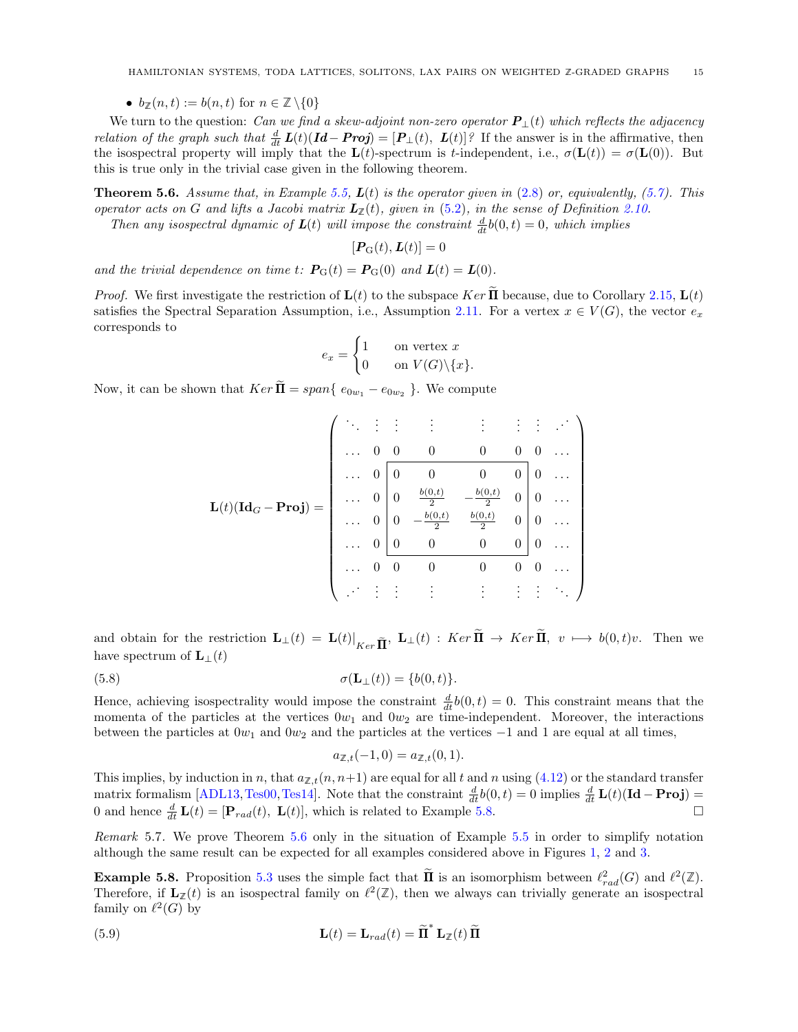<span id="page-14-3"></span>•  $b_{\mathbb{Z}}(n,t) := b(n,t)$  for  $n \in \mathbb{Z} \setminus \{0\}$ 

We turn to the question: Can we find a skew-adjoint non-zero operator  $P_{\perp}(t)$  which reflects the adjacency *relation of the graph such that*  $\frac{d}{dt} L(t) (Id - Proj) = [P_{\perp}(t), L(t)]$ ? If the answer is in the affirmative, then the isospectral property will imply that the  $\mathbf{L}(t)$ -spectrum is t-independent, i.e.,  $\sigma(\mathbf{L}(t)) = \sigma(\mathbf{L}(0))$ . But this is true only in the trivial case given in the following theorem.

<span id="page-14-0"></span>**Theorem 5.6.** Assume that, in Example [5.5,](#page-12-0)  $L(t)$  is the operator given in [\(2.8\)](#page-5-4) or, equivalently, [\(5.7\)](#page-13-0). This operator acts on G and lifts a Jacobi matrix  $L_{\mathbb{Z}}(t)$ , given in [\(5.2\)](#page-11-7), in the sense of Definition [2.10.](#page-5-3)

Then any isospectral dynamic of  $\mathbf{L}(t)$  will impose the constraint  $\frac{d}{dt}b(0,t) = 0$ , which implies

 $[\boldsymbol{P}_{\mathrm{G}}(t),\boldsymbol{L}(t)]=0$ 

and the trivial dependence on time t:  $P_{\text{G}}(t) = P_{\text{G}}(0)$  and  $L(t) = L(0)$ .

*Proof.* We first investigate the restriction of  $\mathbf{L}(t)$  to the subspace Ker  $\mathbf{\bar{II}}$  because, due to Corollary [2.15,](#page-7-3)  $\mathbf{L}(t)$ satisfies the Spectral Separation Assumption, i.e., Assumption [2.11.](#page-5-5) For a vertex  $x \in V(G)$ , the vector  $e_x$ corresponds to

$$
e_x = \begin{cases} 1 & \text{on vertex } x \\ 0 & \text{on } V(G) \backslash \{x\}. \end{cases}
$$

Now, it can be shown that  $Ker \mathbf{\Pi} = span\{e_{0w_1} - e_{0w_2}\}\.$  We compute

$$
\mathbf{L}(t)(\mathbf{Id}_G - \mathbf{Proj}) = \begin{pmatrix}\n\ddots & \vdots & \vdots & \vdots & \vdots & \vdots & \vdots & \vdots \\
\cdots & 0 & 0 & 0 & 0 & 0 & 0 & \cdots \\
\cdots & 0 & 0 & 0 & 0 & 0 & 0 & \cdots \\
\cdots & 0 & 0 & \frac{b(0,t)}{2} & -\frac{b(0,t)}{2} & 0 & 0 & \cdots \\
\cdots & 0 & 0 & -\frac{b(0,t)}{2} & \frac{b(0,t)}{2} & 0 & 0 & \cdots \\
\cdots & 0 & 0 & 0 & 0 & 0 & 0 & \cdots \\
\cdots & 0 & 0 & 0 & 0 & 0 & 0 & \cdots \\
\cdots & \vdots & \vdots & \vdots & \vdots & \vdots & \vdots & \ddots\n\end{pmatrix}
$$

and obtain for the restriction  $\mathbf{L}_{\perp}(t) = \mathbf{L}(t)|_{Ker \tilde{\mathbf{\Pi}}}, \ \mathbf{L}_{\perp}(t) : Ker \mathbf{\Pi} \to Ker \mathbf{\Pi}, \ v \mapsto b(0,t)v.$  Then we have spectrum of  $\mathbf{L}_{\perp}(t)$ 

(5.8) 
$$
\sigma(\mathbf{L}_{\perp}(t)) = \{b(0,t)\}.
$$

Hence, achieving isospectrality would impose the constraint  $\frac{d}{dt}b(0, t) = 0$ . This constraint means that the momenta of the particles at the vertices  $0w_1$  and  $0w_2$  are time-independent. Moreover, the interactions between the particles at  $0w_1$  and  $0w_2$  and the particles at the vertices  $-1$  and 1 are equal at all times,

<span id="page-14-2"></span>
$$
a_{\mathbb{Z},t}(-1,0) = a_{\mathbb{Z},t}(0,1).
$$

This implies, by induction in n, that  $a_{\mathbb{Z},t}(n,n+1)$  are equal for all t and n using [\(4.12\)](#page-10-1) or the standard transfer matrix formalism [\[ADL13,](#page-16-17)[Tes00,](#page-17-15)[Tes14\]](#page-17-26). Note that the constraint  $\frac{d}{dt}b(0,t) = 0$  implies  $\frac{d}{dt}\mathbf{L}(t)(\mathbf{Id} - \mathbf{Proj}) =$ 0 and hence  $\frac{d}{dt}$ **L**(t) = [**P**<sub>rad</sub>(t), **L**(t)], which is related to Example [5.8.](#page-14-1)

Remark 5.7. We prove Theorem [5.6](#page-14-0) only in the situation of Example [5.5](#page-12-0) in order to simplify notation although the same result can be expected for all examples considered above in Figures [1,](#page-1-2) [2](#page-1-1) and [3.](#page-3-1)

<span id="page-14-1"></span>**Example 5.8.** Proposition [5.3](#page-12-3) uses the simple fact that  $\overline{\mathbf{II}}$  is an isomorphism between  $\ell_{rad}^2(G)$  and  $\ell^2(\mathbb{Z})$ . Therefore, if  $\mathbf{L}_{\mathbb{Z}}(t)$  is an isospectral family on  $\ell^2(\mathbb{Z})$ , then we always can trivially generate an isospectral family on  $\ell^2(G)$  by

(5.9) 
$$
\mathbf{L}(t) = \mathbf{L}_{rad}(t) = \widetilde{\mathbf{\Pi}}^* \mathbf{L}_{\mathbb{Z}}(t) \widetilde{\mathbf{\Pi}}
$$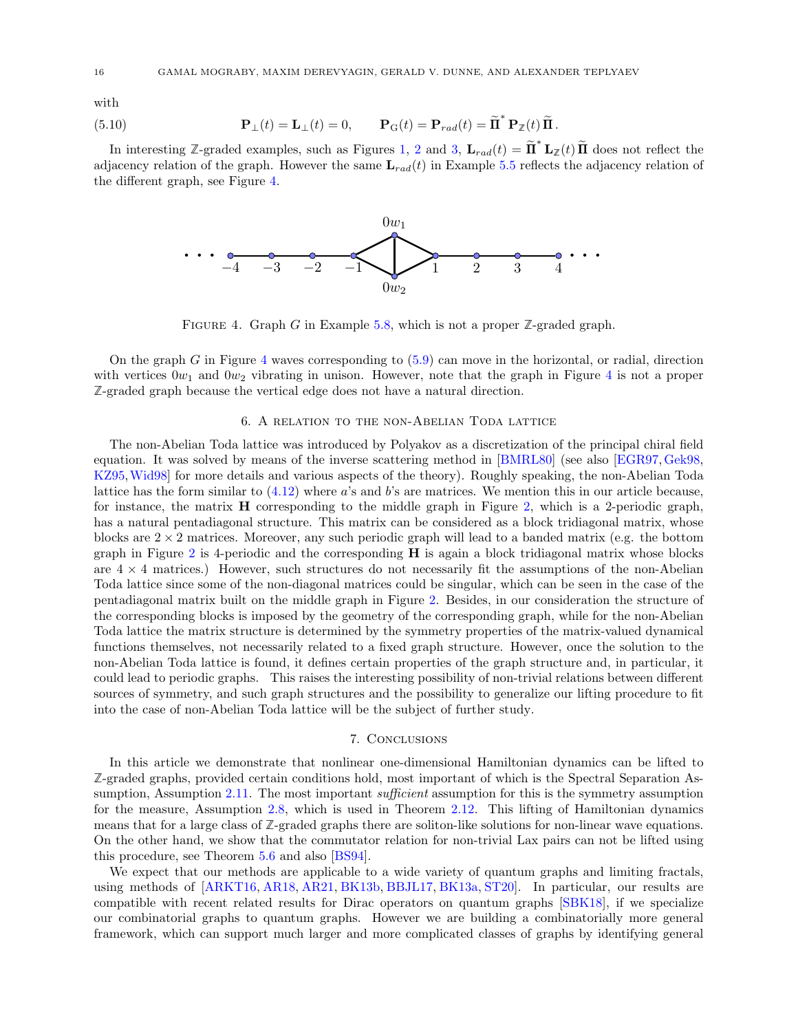<span id="page-15-3"></span>with with

(5.10) 
$$
\mathbf{P}_{\perp}(t) = \mathbf{L}_{\perp}(t) = 0, \qquad \mathbf{P}_{\mathbf{G}}(t) = \mathbf{P}_{rad}(t) = \widetilde{\mathbf{\Pi}}^* \mathbf{P}_{\mathbb{Z}}(t) \widetilde{\mathbf{\Pi}}.
$$

<span id="page-15-2"></span>In interesting Z-graded examples, such as Figures [1,](#page-1-2) [2](#page-1-1) and [3,](#page-3-1)  $\mathbf{L}_{rad}(t) = \tilde{\mathbf{\Pi}}^* \mathbf{L}_{\mathbb{Z}}(t) \tilde{\mathbf{\Pi}}$  does not reflect the adjacency relation of the graph. However the same  $\mathbf{L}_{rad}(t)$  in Example [5.5](#page-12-0) reflects the adjacency relation of the different graph, see Figure [4.](#page-15-2) the different graph, see Figure 4. ∗ adjacency relation of the graph. However the same  $L_{rad}(t)$  in Example 5.5 reflects the adjacency relation of the different graph see Figure 4.



FIGURE 4. Graph G in Example [5.8,](#page-14-1) which is not a proper  $\mathbb{Z}$ -graded graph.

On the graph  $G$  in Figure [4](#page-15-2) waves corresponding to  $(5.9)$  can move in the horizontal, or radial, direction with vertices  $0w_1$  and  $0w_2$  vibrating in unison. However, note that the graph in Figure [4](#page-15-2) is not a proper **Z**-graded graph because the vertical edge does not have a natural direction. **Z**-graded graph because the vertical edge does not have a natural direction.

## 6. A relation to the non-Abelian Toda lattice 6. A relation to the non-Abelian Toda lattice

<span id="page-15-0"></span>The non-Abelian Toda lattice was introduced by Polyakov as a discretization of the principal chiral field equation. It was solved by means of the inverse scattering method in [\[BMRL80\]](#page-16-18) (see also [\[EGR97,](#page-17-27) [Gek98,](#page-17-28) KZ95,Wid98] for more details and various aspects of the theory). Roughly speaking, the non-Abelian Toda [KZ95,](#page-17-29)[Wid98\]](#page-17-30) for more details and various aspects of the theory). Roughly speaking, the non-Abelian Toda lattice has the form similar to  $(4.12)$  where a's and b's are matrices. We mention this in our article because, for instance, the matrix H corresponding to the middle graph in Figure 2, which is a 2-periodic graph, for instance, the matrix H corresponding to the middle graph in Figure [2,](#page-1-1) which is a 2-periodic graph, has a natural pentadiagonal structure. This matrix can be considered as a block tridiagonal matrix, whose blocks are  $2 \times 2$  matrices. Moreover, any such periodic graph will lead to a banded matrix (e.g. the bottom graph in Figure 2 is 4-periodic and the corresponding H is again a block tridiagonal matrix whose blocks graph in Figure [2](#page-1-1) is 4-periodic and the corresponding H is again a block tridiagonal matrix whose blocks are  $4 \times 4$  matrices.) However, such structures do not necessarily fit the assumptions of the non-Abelian Toda lattice since some of the non-diagonal matrices could be singular, which can be seen in the case of the Toda lattice since some of the non-diagonal matrices could be singular, which can be seen in the case of the pentadiagonal matrix built on the middle graph in Figure 2. Besides, in our consideration the structure of pentadiagonal matrix built on the middle graph in Figure [2.](#page-1-1) Besides, in our consideration the structure of the corresponding blocks is imposed by the geometry of the corresponding graph, while for the non-Abelian the corresponding blocks is imposed by the geometry of the corresponding graph, while for the non-Abelian Toda lattice the matrix structure is determined by the symmetry properties of the matrix-valued dynamical Toda lattice the matrix structure is determined by the symmetry properties of the matrix-valued dynamical functions themselves, not necessarily related to a fixed graph structure. However, once the solution to the functions themselves, not necessarily related to a fixed graph structure. However, once the solution to the non-Abelian Toda lattice is found, it defines certain properties of the graph structure and, in particular, it non-Abelian Toda lattice is found, it defines certain properties of the graph structure and, in particular, it could lead to periodic graphs. This raises the interesting possibility of non-trivial relations between different sources of symmetry, and such graph structures and the possibility to generalize our lifting procedure to fit into the case of non-Abelian Toda lattice will be the subject of further study. into the case of non-Abelian Toda lattice will be the subject of further study.

# 7. Conclusions 7. Conclusions

<span id="page-15-1"></span>In this article we demonstrate that nonlinear one-dimensional Hamiltonian dynamics can be lifted to Z-graded graphs, provided certain conditions hold, most important of which is the Spectral Separation As-E graded graphs, provided ecream conditions nota, most important or which is the spectral separation in<br>sumption, Assumption [2.11.](#page-5-5) The most important *sufficient* assumption for this is the symmetry assumption for the measure, Assumption [2.8,](#page-5-0) which is used in Theorem [2.12.](#page-5-1) This lifting of Hamiltonian dynamics means that for a large class of Z-graded graphs there are soliton-like solutions for non-linear wave equations. On the other hand, we show that the commutator relation for non-trivial Lax pairs can not be lifted using On the other hand, we show that the commutator relation for non-trivial Lax pairs can not be lifted using this procedure, see Theorem 5.6 and also [BS94]. this procedure, see Theorem [5.6](#page-14-0) and also [\[BS94\]](#page-16-19).

We expect that our methods are applicable to a wide variety of quantum graphs and limiting fractals, We expect that our methods are applicable to a wide variety of quantum graphs and limiting fractals, using methods of [ARKT16, AR18, AR21, BK13b, BBJL17, BK13a, ST20]. In particular, our results are using methods of [\[ARKT16,](#page-16-12) [AR18,](#page-16-14) [AR21,](#page-16-15) [BK13b,](#page-16-20) [BBJL17,](#page-16-21) [BK13a,](#page-16-22) [ST20\]](#page-17-24). In particular, our results are compatible with recent related results for Dirac operators on quantum graphs [SBK18], if we specialize compatible with recent related results for Dirac operators on quantum graphs [\[SBK18\]](#page-17-31), if we specialize our combinatorial graphs to quantum graphs. However we are building a combinatorially more general our combinatorial graphs to quantum graphs. However we are building a combinatorially more general framework, which can support much larger and more complicated classes of graphs by identifying general framework, which can support much larger and more complicated classes of graphs by identifying general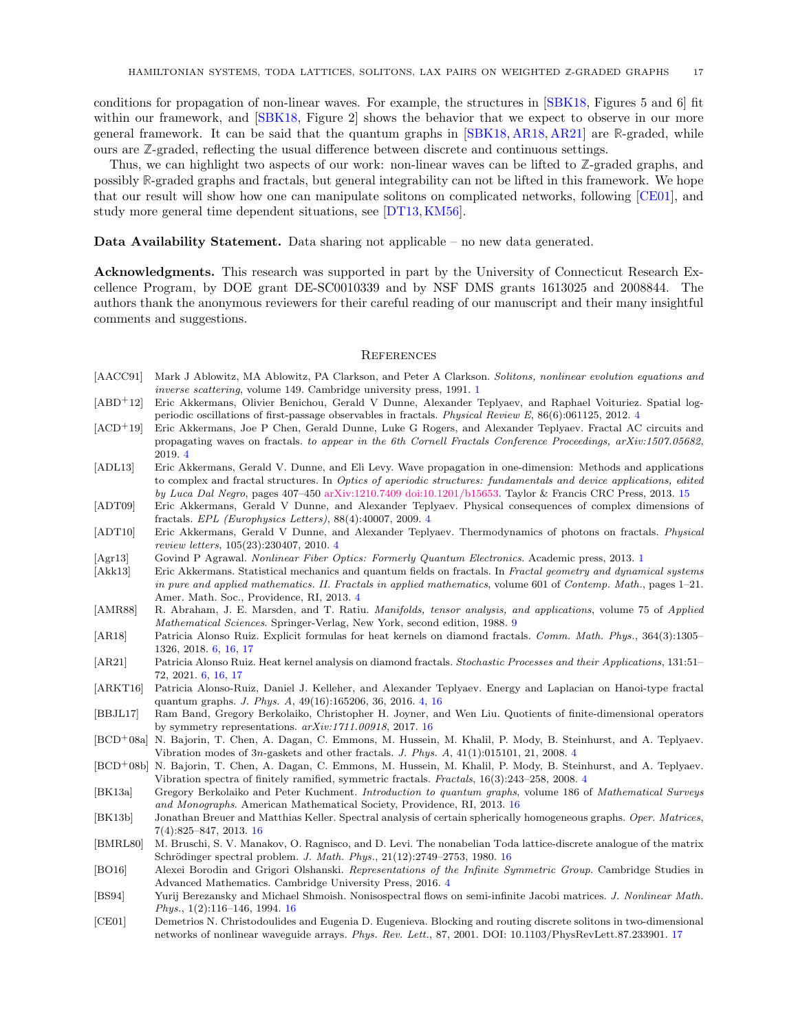<span id="page-16-24"></span>conditions for propagation of non-linear waves. For example, the structures in [\[SBK18,](#page-17-31) Figures 5 and 6] fit within our framework, and  $[SBK18, Figure 2]$  $[SBK18, Figure 2]$  shows the behavior that we expect to observe in our more general framework. It can be said that the quantum graphs in [\[SBK18,](#page-17-31) [AR18,](#page-16-14) [AR21\]](#page-16-15) are **R**-graded, while ours are **Z**-graded, reflecting the usual difference between discrete and continuous settings.

Thus, we can highlight two aspects of our work: non-linear waves can be lifted to **Z**-graded graphs, and possibly **R**-graded graphs and fractals, but general integrability can not be lifted in this framework. We hope that our result will show how one can manipulate solitons on complicated networks, following [\[CE01\]](#page-16-23), and study more general time dependent situations, see [\[DT13,](#page-17-32)[KM56\]](#page-17-33).

<span id="page-16-0"></span>Data Availability Statement. Data sharing not applicable – no new data generated.

<span id="page-16-1"></span>Acknowledgments. This research was supported in part by the University of Connecticut Research Excellence Program, by DOE grant DE-SC0010339 and by NSF DMS grants 1613025 and 2008844. The authors thank the anonymous reviewers for their careful reading of our manuscript and their many insightful comments and suggestions.

#### <span id="page-16-2"></span>**REFERENCES**

- <span id="page-16-3"></span>[AACC91] Mark J Ablowitz, MA Ablowitz, PA Clarkson, and Peter A Clarkson. Solitons, nonlinear evolution equations and inverse scattering, volume 149. Cambridge university press, 1991. [1](#page-0-1)
- <span id="page-16-9"></span>[ABD+12] Eric Akkermans, Olivier Benichou, Gerald V Dunne, Alexander Teplyaev, and Raphael Voituriez. Spatial logperiodic oscillations of first-passage observables in fractals. Physical Review E, 86(6):061125, 2012. [4](#page-3-3)
- <span id="page-16-10"></span>[ACD+19] Eric Akkermans, Joe P Chen, Gerald Dunne, Luke G Rogers, and Alexander Teplyaev. Fractal AC circuits and propagating waves on fractals. to appear in the 6th Cornell Fractals Conference Proceedings, arXiv:1507.05682, 2019. [4](#page-3-3)
- <span id="page-16-17"></span>[ADL13] Eric Akkermans, Gerald V. Dunne, and Eli Levy. Wave propagation in one-dimension: Methods and applications to complex and fractal structures. In Optics of aperiodic structures: fundamentals and device applications, edited by Luca Dal Negro, pages 407–450 [arXiv:1210.7409](https://arxiv.org/abs/1210.7409) [doi:10.1201/b15653.](https://doi.org/10.1201/b15653) Taylor & Francis CRC Press, 2013. [15](#page-14-3)
- <span id="page-16-7"></span>[ADT09] Eric Akkermans, Gerald V Dunne, and Alexander Teplyaev. Physical consequences of complex dimensions of fractals. EPL (Europhysics Letters), 88(4):40007, 2009. [4](#page-3-3)
- <span id="page-16-8"></span>[ADT10] Eric Akkermans, Gerald V Dunne, and Alexander Teplyaev. Thermodynamics of photons on fractals. Physical review letters, 105(23):230407, 2010. [4](#page-3-3)
- <span id="page-16-4"></span>[Agr13] Govind P Agrawal. Nonlinear Fiber Optics: Formerly Quantum Electronics. Academic press, 2013. [1](#page-0-1)
- <span id="page-16-11"></span>[Akk13] Eric Akkermans. Statistical mechanics and quantum fields on fractals. In Fractal geometry and dynamical systems in pure and applied mathematics. II. Fractals in applied mathematics, volume 601 of Contemp. Math., pages 1–21. Amer. Math. Soc., Providence, RI, 2013. [4](#page-3-3)
- <span id="page-16-16"></span>[AMR88] R. Abraham, J. E. Marsden, and T. Ratiu. Manifolds, tensor analysis, and applications, volume 75 of Applied Mathematical Sciences. Springer-Verlag, New York, second edition, 1988. [9](#page-8-6)
- <span id="page-16-14"></span>[AR18] Patricia Alonso Ruiz. Explicit formulas for heat kernels on diamond fractals. Comm. Math. Phys., 364(3):1305– 1326, 2018. [6,](#page-5-8) [16,](#page-15-3) [17](#page-16-24)
- <span id="page-16-15"></span>[AR21] Patricia Alonso Ruiz. Heat kernel analysis on diamond fractals. Stochastic Processes and their Applications, 131:51– 72, 2021. [6,](#page-5-8) [16,](#page-15-3) [17](#page-16-24)
- <span id="page-16-12"></span>[ARKT16] Patricia Alonso-Ruiz, Daniel J. Kelleher, and Alexander Teplyaev. Energy and Laplacian on Hanoi-type fractal quantum graphs. J. Phys. A, 49(16):165206, 36, 2016. [4,](#page-3-3) [16](#page-15-3)
- <span id="page-16-21"></span>[BBJL17] Ram Band, Gregory Berkolaiko, Christopher H. Joyner, and Wen Liu. Quotients of finite-dimensional operators by symmetry representations. arXiv:1711.00918, 2017. [16](#page-15-3)
- <span id="page-16-5"></span>[BCD+08a] N. Bajorin, T. Chen, A. Dagan, C. Emmons, M. Hussein, M. Khalil, P. Mody, B. Steinhurst, and A. Teplyaev. Vibration modes of 3n-gaskets and other fractals. J. Phys. A, 41(1):015101, 21, 2008. [4](#page-3-3)
- <span id="page-16-6"></span>[BCD+08b] N. Bajorin, T. Chen, A. Dagan, C. Emmons, M. Hussein, M. Khalil, P. Mody, B. Steinhurst, and A. Teplyaev. Vibration spectra of finitely ramified, symmetric fractals. Fractals, 16(3):243–258, 2008. [4](#page-3-3)
- <span id="page-16-22"></span>[BK13a] Gregory Berkolaiko and Peter Kuchment. Introduction to quantum graphs, volume 186 of Mathematical Surveys and Monographs. American Mathematical Society, Providence, RI, 2013. [16](#page-15-3)
- <span id="page-16-20"></span>[BK13b] Jonathan Breuer and Matthias Keller. Spectral analysis of certain spherically homogeneous graphs. Oper. Matrices, 7(4):825–847, 2013. [16](#page-15-3)
- <span id="page-16-18"></span>[BMRL80] M. Bruschi, S. V. Manakov, O. Ragnisco, and D. Levi. The nonabelian Toda lattice-discrete analogue of the matrix Schrödinger spectral problem. J. Math. Phys.,  $21(12):2749-2753$ , 1980. [16](#page-15-3)
- <span id="page-16-13"></span>[BO16] Alexei Borodin and Grigori Olshanski. Representations of the Infinite Symmetric Group. Cambridge Studies in Advanced Mathematics. Cambridge University Press, 2016. [4](#page-3-3)
- <span id="page-16-19"></span>[BS94] Yurij Berezansky and Michael Shmoish. Nonisospectral flows on semi-infinite Jacobi matrices. J. Nonlinear Math. Phys., 1(2):116–146, 1994. [16](#page-15-3)
- <span id="page-16-23"></span>[CE01] Demetrios N. Christodoulides and Eugenia D. Eugenieva. Blocking and routing discrete solitons in two-dimensional networks of nonlinear waveguide arrays. Phys. Rev. Lett., 87, 2001. DOI: 10.1103/PhysRevLett.87.233901. [17](#page-16-24)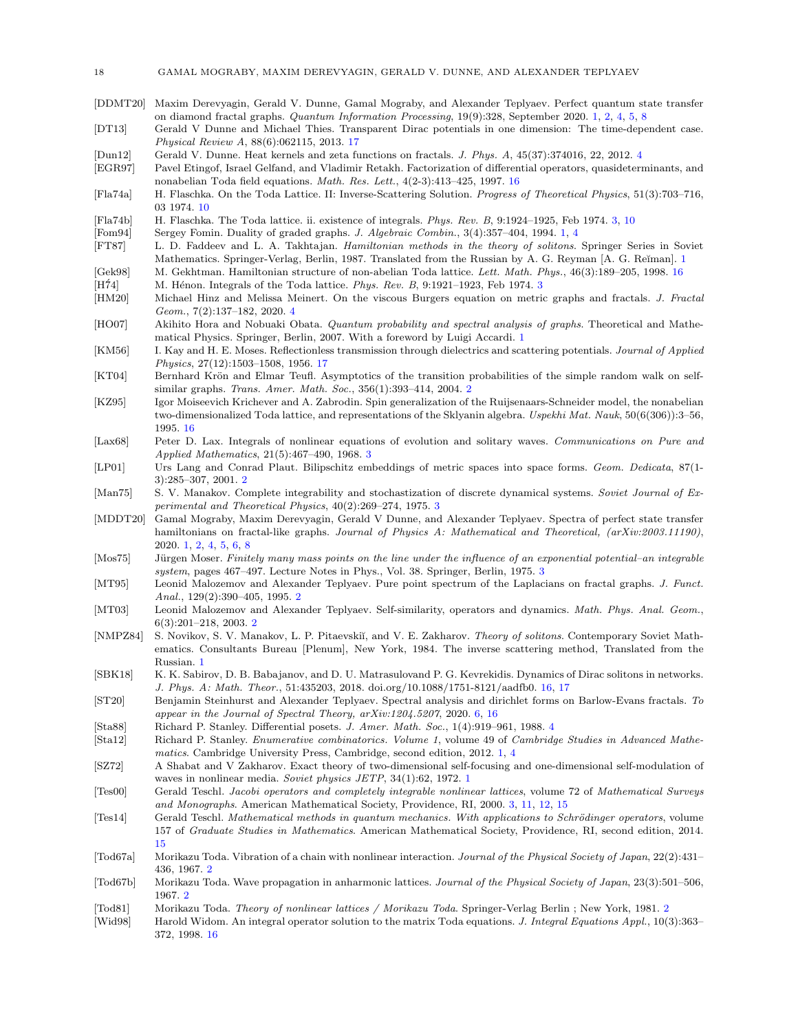- <span id="page-17-3"></span>[DDMT20] Maxim Derevyagin, Gerald V. Dunne, Gamal Mograby, and Alexander Teplyaev. Perfect quantum state transfer on diamond fractal graphs. Quantum Information Processing, 19(9):328, September 2020. [1,](#page-0-1) [2,](#page-1-3) [4,](#page-3-3) [5,](#page-4-3) [8](#page-7-4)
- <span id="page-17-32"></span>[DT13] Gerald V Dunne and Michael Thies. Transparent Dirac potentials in one dimension: The time-dependent case. Physical Review A, 88(6):062115, 2013. [17](#page-16-24)
- <span id="page-17-21"></span>[Dun12] Gerald V. Dunne. Heat kernels and zeta functions on fractals. J. Phys. A, 45(37):374016, 22, 2012. [4](#page-3-3)
- <span id="page-17-27"></span>[EGR97] Pavel Etingof, Israel Gelfand, and Vladimir Retakh. Factorization of differential operators, quasideterminants, and nonabelian Toda field equations. Math. Res. Lett., 4(2-3):413–425, 1997. [16](#page-15-3)
- <span id="page-17-25"></span>[Fla74a] H. Flaschka. On the Toda Lattice. II: Inverse-Scattering Solution. Progress of Theoretical Physics, 51(3):703–716, 03 1974. [10](#page-9-10)
- <span id="page-17-16"></span>[Fla74b] H. Flaschka. The Toda lattice. ii. existence of integrals. Phys. Rev. B, 9:1924–1925, Feb 1974. [3,](#page-2-1) [10](#page-9-10)
- <span id="page-17-5"></span>[Fom94] Sergey Fomin. Duality of graded graphs. J. Algebraic Combin., 3(4):357–404, 1994. [1,](#page-0-1) [4](#page-3-3)
- <span id="page-17-2"></span>[FT87] L. D. Faddeev and L. A. Takhtajan. Hamiltonian methods in the theory of solitons. Springer Series in Soviet Mathematics. Springer-Verlag, Berlin, [1](#page-0-1)987. Translated from the Russian by A. G. Reyman [A. G. Reiman]. 1
- <span id="page-17-28"></span>[Gek98] M. Gekhtman. Hamiltonian structure of non-abelian Toda lattice. Lett. Math. Phys., 46(3):189–205, 1998. [16](#page-15-3)
- <span id="page-17-17"></span>[H<sup> $74$ ]</sup> M. Hénon. Integrals of the Toda lattice. *Phys. Rev. B*, 9:1921–192[3](#page-2-1), Feb 1974. 3
- <span id="page-17-22"></span>[HM20] Michael Hinz and Melissa Meinert. On the viscous Burgers equation on metric graphs and fractals. J. Fractal Geom., 7(2):137–182, 2020. [4](#page-3-3)
- <span id="page-17-7"></span>[HO07] Akihito Hora and Nobuaki Obata. Quantum probability and spectral analysis of graphs. Theoretical and Mathematical Physics. Springer, Berlin, 2007. With a foreword by Luigi Accardi. [1](#page-0-1)
- <span id="page-17-33"></span>[KM56] I. Kay and H. E. Moses. Reflectionless transmission through dielectrics and scattering potentials. Journal of Applied Physics, 27(12):1503–1508, 1956. [17](#page-16-24)
- <span id="page-17-8"></span>[KT04] Bernhard Krön and Elmar Teufl. Asymptotics of the transition probabilities of the simple random walk on selfsimilar graphs. Trans. Amer. Math. Soc., 356(1):393–414, 2004. [2](#page-1-3)
- <span id="page-17-29"></span>[KZ95] Igor Moiseevich Krichever and A. Zabrodin. Spin generalization of the Ruijsenaars-Schneider model, the nonabelian two-dimensionalized Toda lattice, and representations of the Sklyanin algebra. Uspekhi Mat. Nauk, 50(6(306)):3–56, 1995. [16](#page-15-3)
- <span id="page-17-20"></span>[Lax68] Peter D. Lax. Integrals of nonlinear equations of evolution and solitary waves. Communications on Pure and Applied Mathematics, 21(5):467–490, 1968. [3](#page-2-1)
- <span id="page-17-11"></span>[LP01] Urs Lang and Conrad Plaut. Bilipschitz embeddings of metric spaces into space forms. Geom. Dedicata, 87(1- 3):285–307, 2001. [2](#page-1-3)
- <span id="page-17-19"></span>[Man75] S. V. Manakov. Complete integrability and stochastization of discrete dynamical systems. Soviet Journal of Experimental and Theoretical Physics, 40(2):269–274, 1975. [3](#page-2-1)
- <span id="page-17-4"></span>[MDDT20] Gamal Mograby, Maxim Derevyagin, Gerald V Dunne, and Alexander Teplyaev. Spectra of perfect state transfer hamiltonians on fractal-like graphs. Journal of Physics A: Mathematical and Theoretical, (arXiv:2003.11190), 2020. [1,](#page-0-1) [2,](#page-1-3) [4,](#page-3-3) [5,](#page-4-3) [6,](#page-5-8) [8](#page-7-4)
- <span id="page-17-18"></span>[Mos75] Jürgen Moser. Finitely many mass points on the line under the influence of an exponential potential–an integrable system, pages 467–497. Lecture Notes in Phys., Vol. 38. Springer, Berlin, 1975. [3](#page-2-1)
- <span id="page-17-9"></span>[MT95] Leonid Malozemov and Alexander Teplyaev. Pure point spectrum of the Laplacians on fractal graphs. J. Funct. Anal., 129(2):390–405, 1995. [2](#page-1-3)
- <span id="page-17-10"></span>[MT03] Leonid Malozemov and Alexander Teplyaev. Self-similarity, operators and dynamics. Math. Phys. Anal. Geom., 6(3):201–218, 2003. [2](#page-1-3)
- <span id="page-17-1"></span>[NMPZ84] S. Novikov, S. V. Manakov, L. P. Pitaevskiĭ, and V. E. Zakharov. Theory of solitons. Contemporary Soviet Mathematics. Consultants Bureau [Plenum], New York, 1984. The inverse scattering method, Translated from the Russian. [1](#page-0-1)
- <span id="page-17-31"></span>[SBK18] K. K. Sabirov, D. B. Babajanov, and D. U. Matrasulovand P. G. Kevrekidis. Dynamics of Dirac solitons in networks. J. Phys. A: Math. Theor., 51:435203, 2018. doi.org/10.1088/1751-8121/aadfb0. [16,](#page-15-3) [17](#page-16-24)
- <span id="page-17-24"></span>[ST20] Benjamin Steinhurst and Alexander Teplyaev. Spectral analysis and dirichlet forms on Barlow-Evans fractals. To appear in the Journal of Spectral Theory, arXiv:1204.5207, 2020. [6,](#page-5-8) [16](#page-15-3)
- <span id="page-17-23"></span>[Sta88] Richard P. Stanley. Differential posets. J. Amer. Math. Soc., 1(4):919–961, 1988. [4](#page-3-3)
- <span id="page-17-6"></span>[Sta12] Richard P. Stanley. Enumerative combinatorics. Volume 1, volume 49 of Cambridge Studies in Advanced Mathematics. Cambridge University Press, Cambridge, second edition, 2012. [1,](#page-0-1) [4](#page-3-3)
- <span id="page-17-0"></span>[SZ72] A Shabat and V Zakharov. Exact theory of two-dimensional self-focusing and one-dimensional self-modulation of waves in nonlinear media. Soviet physics JETP, 34(1):62, 1972. [1](#page-0-1)
- <span id="page-17-15"></span>[Tes00] Gerald Teschl. Jacobi operators and completely integrable nonlinear lattices, volume 72 of Mathematical Surveys and Monographs. American Mathematical Society, Providence, RI, 2000. [3,](#page-2-1) [11,](#page-10-4) [12,](#page-11-8) [15](#page-14-3)
- <span id="page-17-26"></span>[Tes14] Gerald Teschl. Mathematical methods in quantum mechanics. With applications to Schrödinger operators, volume 157 of Graduate Studies in Mathematics. American Mathematical Society, Providence, RI, second edition, 2014. [15](#page-14-3)
- <span id="page-17-12"></span>[Tod67a] Morikazu Toda. Vibration of a chain with nonlinear interaction. Journal of the Physical Society of Japan, 22(2):431– 436, 1967. [2](#page-1-3)
- <span id="page-17-13"></span>[Tod67b] Morikazu Toda. Wave propagation in anharmonic lattices. Journal of the Physical Society of Japan, 23(3):501–506, 1967. [2](#page-1-3)
- <span id="page-17-14"></span>[Tod81] Morikazu Toda. Theory of nonlinear lattices / Morikazu Toda. Springer-Verlag Berlin ; New York, 1981. [2](#page-1-3)
- <span id="page-17-30"></span>[Wid98] Harold Widom. An integral operator solution to the matrix Toda equations. J. Integral Equations Appl., 10(3):363– 372, 1998. [16](#page-15-3)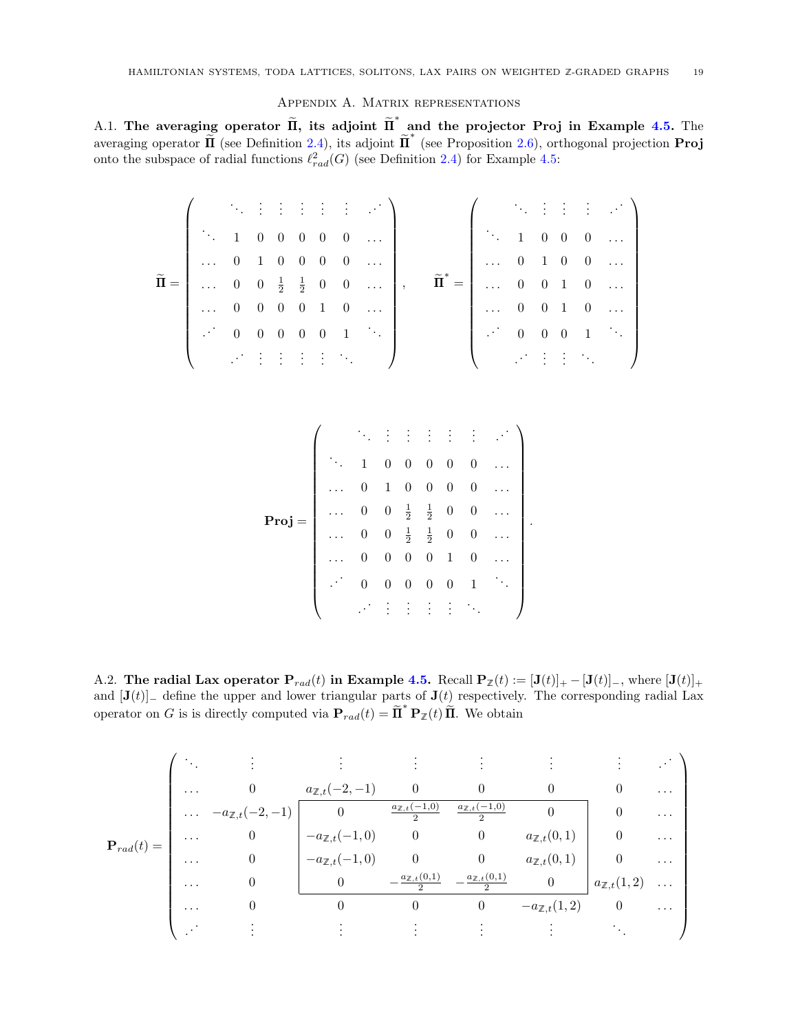### Appendix A. Matrix representations

<span id="page-18-1"></span><span id="page-18-0"></span>A.1. The averaging operator  $\widetilde{\Pi}$ , its adjoint  $\widetilde{\Pi}^*$  and the projector Proj in Example [4.5.](#page-11-1) The averaging operator  $\widetilde{\Pi}$  (see Definition [2.4\)](#page-4-4), its adjoint  $\widetilde{\Pi}^*$  (see Proposition [2.6\)](#page-4-1), orthogonal projection **Proj** onto the subspace of radial functions  $\ell_{rad}^2(G)$  (see Definition [2.4\)](#page-4-4) for Example [4.5:](#page-11-1)

$$
\widetilde{\Pi} = \left(\begin{array}{cccccc} \ddots & \vdots & \vdots & \vdots & \vdots & \vdots & \vdots \\ \ddots & 1 & 0 & 0 & 0 & 0 & \dots \\ \dots & 0 & 1 & 0 & 0 & 0 & 0 & \dots \\ \dots & 0 & 0 & \frac{1}{2} & \frac{1}{2} & 0 & 0 & \dots \\ \dots & 0 & 0 & 0 & 0 & 1 & 0 & \dots \\ \vdots & \vdots & \vdots & \vdots & \vdots & \vdots & \ddots \end{array}\right), \quad \widetilde{\Pi}^* = \left(\begin{array}{cccccc} \ddots & \vdots & \vdots & \vdots & \ddots \\ \dots & 1 & 0 & 0 & 0 & \dots \\ \dots & 0 & 1 & 0 & 0 & \dots \\ \dots & 0 & 0 & 1 & 0 & \dots \\ \dots & 0 & 0 & 1 & 0 & \dots \\ \vdots & \vdots & \vdots & \vdots & \ddots \end{array}\right)
$$

Proj = . . . . . . . . . . . . . . . . . . . . . . . . 1 0 0 0 0 0 . . . . . . 0 1 0 0 0 0 . . . . . . 0 0 <sup>1</sup> 2 1 2 0 0 . . . . . . 0 0 <sup>1</sup> 2 1 2 0 0 . . . . . . 0 0 0 0 1 0 . . . . . . 0 0 0 0 0 1 . . . . . . . . . . . . . . . . . . . . . 

.

<span id="page-18-2"></span>A.2. The radial Lax operator  $P_{rad}(t)$  in Example [4.5.](#page-11-1) Recall  $P_{\mathbb{Z}}(t) := [\mathbf{J}(t)]_+ - [\mathbf{J}(t)]_-,$  where  $[\mathbf{J}(t)]_+$ and  $[\mathbf{J}(t)]_$  define the upper and lower triangular parts of  $\mathbf{J}(t)$  respectively. The corresponding radial Lax operator on G is is directly computed via  $P_{rad}(t) = \tilde{\Pi}^* P_{\mathbb{Z}}(t) \tilde{\Pi}$ . We obtain

$$
\mathbf{P}_{rad}(t) = \begin{pmatrix}\n\ddots & \vdots & \vdots & \vdots & \vdots & \vdots & \vdots & \vdots \\
\cdots & 0 & a_{\mathbb{Z},t}(-2,-1) & 0 & 0 & 0 & 0 & \cdots \\
\cdots & -a_{\mathbb{Z},t}(-2,-1) & 0 & \frac{a_{\mathbb{Z},t}(-1,0)}{2} & \frac{a_{\mathbb{Z},t}(-1,0)}{2} & 0 & 0 & \cdots \\
\cdots & 0 & -a_{\mathbb{Z},t}(-1,0) & 0 & 0 & a_{\mathbb{Z},t}(0,1) & 0 & \cdots \\
\cdots & 0 & 0 & -\frac{a_{\mathbb{Z},t}(0,1)}{2} & -\frac{a_{\mathbb{Z},t}(0,1)}{2} & 0 & 0 & \cdots \\
\cdots & 0 & 0 & 0 & 0 & -a_{\mathbb{Z},t}(1,2) & \cdots \\
\cdots & 0 & 0 & 0 & 0 & -a_{\mathbb{Z},t}(1,2) & 0 & \cdots \\
\vdots & \vdots & \vdots & \vdots & \vdots & \ddots\n\end{pmatrix}
$$